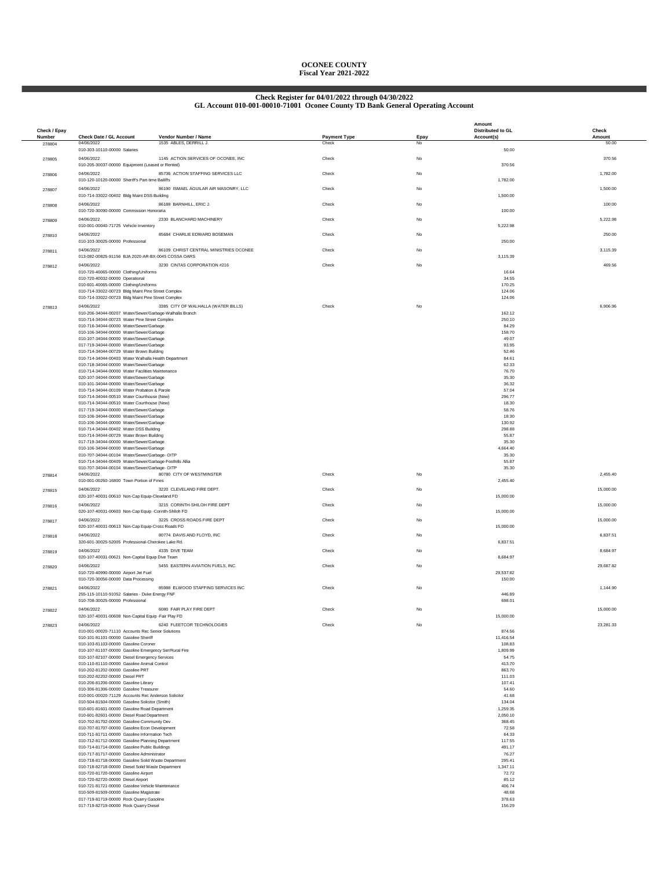## **OCONEE COUNTY Fiscal Year 2021-2022**

# **Check Register for 04/01/2022 through 04/30/2022 GL Account 010-001-00010-71001 Oconee County TD Bank General Operating Account**

| Check / Epay     |                                                                                                          | Vendor Number / Name                   |                              |            | Amount<br>Distributed to GL | Check           |
|------------------|----------------------------------------------------------------------------------------------------------|----------------------------------------|------------------------------|------------|-----------------------------|-----------------|
| Number<br>278804 | Check Date / GL Account<br>04/06/2022                                                                    | 1535 ABLES, DERRILL J.                 | <b>Payment Type</b><br>Check | Epay<br>No | Account(s)                  | Amount<br>50.00 |
| 278805           | 010-303-10110-00000 Salaries<br>04/06/2022                                                               | 1145 ACTION SERVICES OF OCONEE, INC    | Check                        | No         | 50.00                       | 370.56          |
|                  | 010-205-30037-00000 Equipment (Leased or Rented)                                                         |                                        |                              |            | 370.56                      |                 |
| 278806           | 04/06/2022<br>010-120-10120-00000 Sheriff's Part-time Bailiffs                                           | 85736 ACTION STAFFING SERVICES LLC     | Check                        | No         | 1,782.00                    | 1,782.00        |
| 278807           | 04/06/2022<br>010-714-33022-00402 Bldg Maint DSS Building                                                | 86190 ISMAEL AGUILAR AIR MASONRY, LLC  | Check                        | No         | 1,500.00                    | 1,500.00        |
| 278808           | 04/06/2022                                                                                               | 86188 BARNHILL, ERIC J.                | Check                        | No         |                             | 100.00          |
|                  | 010-720-30090-00000 Commission Honoraria                                                                 |                                        |                              |            | 100.00                      |                 |
| 278809           | 04/06/2022<br>010-001-00040-71725 Vehicle Inventory                                                      | 2330 BLANCHARD MACHINERY               | Check                        | No         | 5,222.98                    | 5,222.98        |
| 278810           | 04/06/2022<br>010-103-30025-00000 Professional                                                           | 85684 CHARLIE EDWARD BOSEMAN           | Check                        | No         | 250.00                      | 250.00          |
| 278811           | 04/06/2022                                                                                               | 86109 CHRIST CENTRAL MINISTRIES OCONEE | Check                        | No         |                             | 3,115.39        |
| 278812           | 013-082-00825-91156 BJA 2020-AR-BX-0045 COSSA OARS<br>04/06/2022                                         | 3230 CINTAS CORPORATION #216           | Check                        | No         | 3,115.39                    | 469.56          |
|                  | 010-720-40065-00000 Clothing/Uniforms                                                                    |                                        |                              |            | 16.64<br>34.55              |                 |
|                  | 010-720-40032-00000 Operational<br>010-601-40065-00000 Clothing/Uniforms                                 |                                        |                              |            | 170.25                      |                 |
|                  | 010-714-33022-00723 Bldg Maint Pine Street Complex<br>010-714-33022-00723 Bldg Maint Pine Street Complex |                                        |                              |            | 124.06<br>124.06            |                 |
| 278813           | 04/06/2022                                                                                               | 3385 CITY OF WALHALLA (WATER BILLS)    | Check                        | No         |                             | 6,906.96        |
|                  | 010-206-34044-00207 Water/Sewer/Garbage-Walhalla Branch<br>010-714-34044-00723 Water Pine Street Complex |                                        |                              |            | 162.12<br>250.10            |                 |
|                  | 010-716-34044-00000 Water/Sewer/Garbage                                                                  |                                        |                              |            | 84.29                       |                 |
|                  | 010-106-34044-00000 Water/Sewer/Garbage<br>010-107-34044-00000 Water/Sewer/Garbage                       |                                        |                              |            | 158.70<br>49.07             |                 |
|                  | 017-719-34044-00000 Water/Sewer/Garbage                                                                  |                                        |                              |            | 93.95                       |                 |
|                  | 010-714-34044-00729 Water Brown Building<br>010-714-34044-00403 Water Walhalla Health Department         |                                        |                              |            | 52.46<br>84.61              |                 |
|                  | 010-718-34044-00000 Water/Sewer/Garbage                                                                  |                                        |                              |            | 62.33                       |                 |
|                  | 010-714-34044-00000 Water Facilities Maintenance                                                         |                                        |                              |            | 76.70                       |                 |
|                  | 020-107-34044-00000 Water/Sewer/Garbage<br>010-101-34044-00000 Water/Sewer/Garbage                       |                                        |                              |            | 35.30<br>36.32              |                 |
|                  | 010-714-34044-00109 Water Probation & Parole                                                             |                                        |                              |            | 57.04                       |                 |
|                  | 010-714-34044-00510 Water Courthouse (New)                                                               |                                        |                              |            | 296,77                      |                 |
|                  | 010-714-34044-00510 Water Courthouse (New)<br>017-719-34044-00000 Water/Sewer/Garbage                    |                                        |                              |            | 18,30<br>58.76              |                 |
|                  | 010-106-34044-00000 Water/Sewer/Garbage                                                                  |                                        |                              |            | 18.30                       |                 |
|                  | 010-106-34044-00000 Water/Sewer/Garbage                                                                  |                                        |                              |            | 130.92                      |                 |
|                  | 010-714-34044-00402 Water DSS Building<br>010-714-34044-00729 Water Brown Building                       |                                        |                              |            | 298.88<br>55.87             |                 |
|                  | 017-719-34044-00000 Water/Sewer/Garbage                                                                  |                                        |                              |            | 35.30                       |                 |
|                  | 010-106-34044-00000 Water/Sewer/Garbage<br>010-707-34044-00104 Water/Sewer/Garbage- OITP                 |                                        |                              |            | 4,664.40<br>35.30           |                 |
|                  | 010-714-34044-00409 Water/Sewer/Garbage-Foothills Allia                                                  |                                        |                              |            | 55.87                       |                 |
|                  | 010-707-34044-00104 Water/Sewer/Garbage- OITP                                                            |                                        |                              |            | 35.30                       |                 |
| 278814           | 04/06/2022<br>010-001-00260-16800 Town Portion of Fines                                                  | 80780 CITY OF WESTMINSTER              | Check                        | No         | 2,455.40                    | 2,455.40        |
| 278815           | 04/06/2022                                                                                               | 3220 CLEVELAND FIRE DEPT.              | Check                        | No         |                             | 15,000.00       |
|                  | 020-107-40031-00610 Non-Cap Equip-Cleveland FD<br>04/06/2022                                             | 3215 CORINTH-SHILOH FIRE DEPT          | Check                        | No         | 15,000.00                   | 15,000.00       |
| 278816           | 020-107-40031-00603 Non-Cap Equip -Corinth-Shiloh FD                                                     |                                        |                              |            | 15,000.00                   |                 |
| 278817           | 04/06/2022<br>020-107-40031-00613 Non-Cap Equip-Cross Roads FD                                           | 3225 CROSS ROADS FIRE DEPT             | Check                        | No         | 15,000.00                   | 15,000.00       |
| 278818           | 04/06/2022                                                                                               | 80774 DAVIS AND FLOYD, INC             | Check                        | No         |                             | 6,837.51        |
| 278819           | 320-601-30025-52005 Professional-Cherokee Lake Rd.<br>04/06/2022                                         | 4335 DIVE TEAM                         | Check                        | No         | 6,837.51                    | 8,684.97        |
|                  | 020-107-40031-00621 Non-Capital Equip Dive Team                                                          |                                        |                              |            | 8,684.97                    |                 |
| 278820           | 04/06/2022<br>010-720-40990-00000 Airport Jet Fuel                                                       | 5455 EASTERN AVIATION FUELS. INC.      | Check                        | No         | 29.537.82                   | 29,687.82       |
|                  | 010-720-30056-00000 Data Processing                                                                      |                                        |                              |            | 150.00                      |                 |
| 278821           | 04/06/2022<br>255-115-10110-91052 Salaries - Duke Energy FNF                                             | 85988 ELWOOD STAFFING SERVICES INC     | Check                        | No         | 446.89                      | 1.144.90        |
|                  | 010-708-30025-00000 Professional                                                                         |                                        |                              |            | 698.01                      |                 |
| 278822           | 04/06/2022<br>020-107-40031-00608 Non-Capital Equip -Fair Play FD                                        | 6080 FAIR PLAY FIRE DEPT               | Check                        | No         | 15,000.00                   | 15,000.00       |
| 278823           | 04/06/2022                                                                                               | 6240 FLEETCOR TECHNOLOGIES             | Check                        | No         |                             | 23,281.33       |
|                  | 010-001-00020-71110 Accounts Rec Senior Solutions                                                        |                                        |                              |            | 874.56                      |                 |
|                  | 010-101-81101-00000 Gasoline Sheriff<br>010-103-81103-00000 Gasoline Coroner                             |                                        |                              |            | 11,416.54<br>108.83         |                 |
|                  | 010-107-81107-00000 Gasoline Emergency Ser/Rural Fire                                                    |                                        |                              |            | 1,809.99                    |                 |
|                  | 010-107-82107-00000 Diesel Emergency Services                                                            |                                        |                              |            | 54.75                       |                 |
|                  | 010-110-81110-00000 Gasoline Animal Control<br>010-202-81202-00000 Gasoline PRT                          |                                        |                              |            | 413.70<br>863.70            |                 |
|                  | 010-202-82202-00000 Diesel PRT                                                                           |                                        |                              |            | 111.03                      |                 |
|                  | 010-206-81206-00000 Gasoline Library                                                                     |                                        |                              |            | 107.41                      |                 |
|                  | 010-306-81306-00000 Gasoline Treasurer<br>010-001-00020-71129 Accounts Rec Anderson Solicitor            |                                        |                              |            | 54.60<br>41.68              |                 |
|                  | 010-504-81504-00000 Gasoline Solicitor (Smith)                                                           |                                        |                              |            | 134.04                      |                 |
|                  | 010-601-81601-00000 Gasoline Road Department                                                             |                                        |                              |            | 1,259.35                    |                 |
|                  | 010-601-82601-00000 Diesel Road Department<br>010-702-81702-00000 Gasoline-Community Dev.                |                                        |                              |            | 2,050.10<br>368.45          |                 |
|                  | 010-707-81707-00000 Gasoline Econ Development                                                            |                                        |                              |            | 72.58                       |                 |
|                  | 010-711-81711-00000 Gasoline Information Tech                                                            |                                        |                              |            | 64.33                       |                 |
|                  | 010-712-81712-00000 Gasoline Planning Department                                                         |                                        |                              |            | 117.55<br>491.17            |                 |
|                  | 010-714-81714-00000 Gasoline Public Buildings<br>010-717-81717-00000 Gasoline Administrator              |                                        |                              |            | 76.27                       |                 |
|                  | 010-718-81718-00000 Gasoline Solid Waste Department                                                      |                                        |                              |            | 295.41                      |                 |
|                  | 010-718-82718-00000 Diesel Solid Waste Department                                                        |                                        |                              |            | 1.347.11                    |                 |
|                  | 010-720-81720-00000 Gasoline Airport<br>010-720-82720-00000 Diesel Airport                               |                                        |                              |            | 72.72<br>85.12              |                 |
|                  | 010-721-81721-00000 Gasoline Vehicle Maintenance                                                         |                                        |                              |            | 406.74                      |                 |
|                  | 010-509-81509-00000 Gasoline Magistrate                                                                  |                                        |                              |            | 48.68                       |                 |
|                  | 017-719-81719-00000 Rock Quarry Gasoline<br>017-719-82719-00000 Rock Quarry Diesel                       |                                        |                              |            | 378.63<br>156.29            |                 |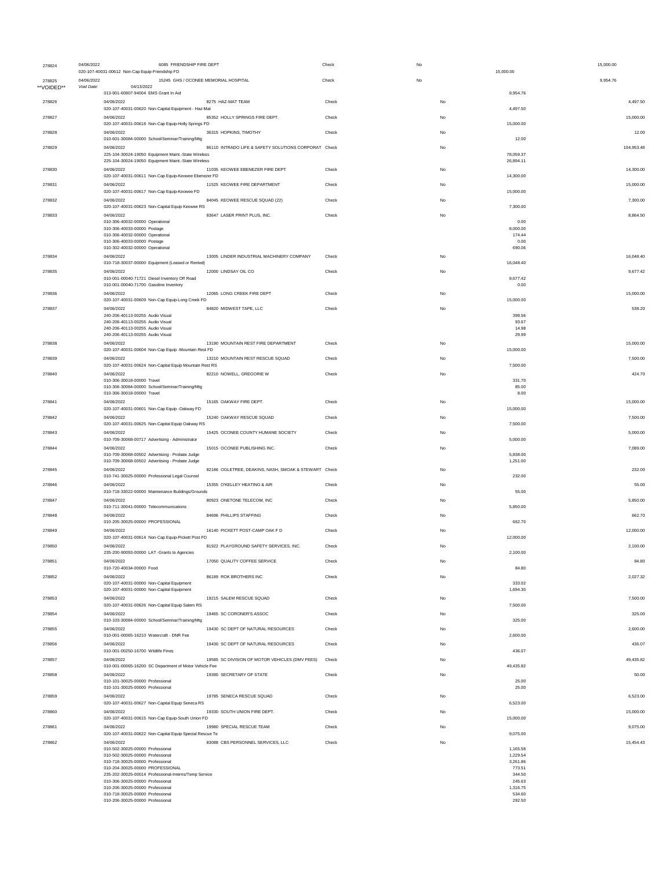| 278824     | 04/06/2022 | 6085 FRIENDSHIP FIRE DEPT<br>020-107-40031-00612 Non-Cap Equip-Friendship FD                               |                                                      | Check | No | 15,000.00              | 15,000.00  |
|------------|------------|------------------------------------------------------------------------------------------------------------|------------------------------------------------------|-------|----|------------------------|------------|
| 278825     | 04/06/2022 | 15245 GHS / OCONEE MEMORIAL HOSPITAL                                                                       |                                                      | Check | No |                        | 9,954.76   |
| **VOIDED** | Void Date: | 04/13/2022<br>013-901-60907-94004 EMS Grant In Aid                                                         |                                                      |       |    | 9.954.76               |            |
| 278826     |            | 04/06/2022<br>020-107-40031-00620 Non-Capital Equipment - Haz-Mat                                          | 8275 HAZ-MAT TEAM                                    | Check | No | 4,497.50               | 4,497.50   |
| 278827     |            | 04/06/2022<br>020-107-40031-00618 Non-Cap Equip-Holly Springs FD                                           | 85352 HOLLY SPRINGS FIRE DEPT.                       | Check | No | 15,000.00              | 15,000.00  |
| 278828     |            | 04/06/2022<br>010-601-30084-00000 School/Seminar/Training/Mtg                                              | 36315 HOPKINS, TIMOTHY                               | Check | No | 12.00                  | 12.00      |
| 278829     |            | 04/06/2022                                                                                                 | 86110 INTRADO LIFE & SAFETY SOLUTIONS CORPORAT Check |       | No |                        | 104,953.48 |
|            |            | 225-104-30024-19050 Equipment Maint.-State Wireless<br>225-104-30024-19050 Equipment Maint.-State Wireless |                                                      |       |    | 78,059.37<br>26,894.11 |            |
| 278830     |            | 04/06/2022<br>020-107-40031-00611 Non-Cap Equip-Keowee Ebenezer FD                                         | 11035 KEOWEE EBENEZER FIRE DEPT                      | Check | No | 14,300.00              | 14,300.00  |
| 278831     |            | 04/06/2022<br>020-107-40031-00617 Non-Cap Equip-Keowee FD                                                  | 11525 KEOWEE FIRE DEPARTMENT                         | Check | No | 15,000.00              | 15,000.00  |
| 278832     |            | 04/06/2022                                                                                                 | 84045 KEOWEE RESCUE SQUAD (22)                       | Check | No |                        | 7,300.00   |
| 278833     |            | 020-107-40031-00623 Non-Capital Equip Keowee RS<br>04/06/2022                                              | 83647 LASER PRINT PLUS, INC.                         | Check | No | 7,300.00               | 8,864.50   |
|            |            | 010-306-40032-00000 Operational<br>010-306-40033-00000 Postage                                             |                                                      |       |    | 0.00<br>8,000.00       |            |
|            |            | 010-306-40032-00000 Operational<br>010-306-40033-00000 Postage                                             |                                                      |       |    | 174.44<br>0.00         |            |
| 278834     |            | 010-302-40032-00000 Operational<br>04/06/2022                                                              | 13005 LINDER INDUSTRIAL MACHINERY COMPANY            | Check | No | 690.06                 | 16,048.40  |
| 278835     |            | 010-718-30037-00000 Equipment (Leased or Rented)<br>04/06/2022                                             | 12000 LINDSAY OIL CO                                 | Check | No | 16,048.40              | 9,677.42   |
|            |            | 010-001-00040-71721 Diesel Inventory Off Road<br>010-001-00040-71700 Gasoline Inventory                    |                                                      |       |    | 9,677.42<br>0.00       |            |
| 278836     |            | 04/06/2022                                                                                                 | 12065 LONG CREEK FIRE DEPT                           | Check | No |                        | 15,000.00  |
| 278837     |            | 020-107-40031-00609 Non-Cap Equip-Long Creek FD<br>04/06/2022                                              | 84820 MIDWEST TAPE, LLC                              | Check | No | 15,000.00              | 538.20     |
|            |            | 240-206-40113-00255 Audio Visual<br>240-206-40113-00255 Audio Visual                                       |                                                      |       |    | 399.56<br>93.67        |            |
|            |            | 240-206-40113-00255 Audio Visual<br>240-206-40113-00255 Audio Visual                                       |                                                      |       |    | 14.98<br>29.99         |            |
| 278838     |            | 04/06/2022<br>020-107-40031-00604 Non-Cap Equip -Mountain Rest FD                                          | 13190 MOUNTAIN REST FIRE DEPARTMENT                  | Check | No | 15,000.00              | 15,000.00  |
| 278839     |            | 04/06/2022                                                                                                 | 13210 MOUNTAIN REST RESCUE SQUAD                     | Check | No |                        | 7,500.00   |
| 278840     |            | 020-107-40031-00624 Non-Capital Equip Mountain Rest RS<br>04/06/2022                                       | 82210 NOWELL, GREGORIE W                             | Check | No | 7,500.00               | 424.70     |
|            |            | 010-306-30018-00000 Travel<br>010-306-30084-00000 School/Seminar/Training/Mtg                              |                                                      |       |    | 331.70<br>85.00        |            |
| 278841     |            | 010-306-30018-00000 Travel<br>04/06/2022                                                                   | 15165 OAKWAY FIRE DEPT.                              | Check | No | 8.00                   | 15,000.00  |
| 278842     |            | 020-107-40031-00601 Non-Cap Equip -Oakway FD<br>04/06/2022                                                 | 15240 OAKWAY RESCUE SQUAD                            | Check | No | 15,000.00              | 7,500.00   |
|            |            | 020-107-40031-00625 Non-Capital Equip Oakway RS                                                            |                                                      |       |    | 7,500.00               |            |
| 278843     |            | 04/06/2022<br>010-709-30068-00717 Advertising - Administrator                                              | 15425 OCONEE COUNTY HUMANE SOCIETY                   | Check | No | 5,000.00               | 5,000.00   |
| 278844     |            | 04/06/2022<br>010-709-30068-00502 Advertising - Probate Judge                                              | 15015 OCONEE PUBLISHING INC.                         | Check | No | 5,838.00               | 7,089.00   |
| 278845     |            | 010-709-30068-00502 Advertising - Probate Judge<br>04/06/2022                                              | 82186 OGLETREE, DEAKINS, NASH, SMOAK & STEWART Check |       | No | 1,251.00               | 232.00     |
|            |            | 010-741-30025-00000 Professional Legal Counsel                                                             |                                                      |       |    | 232.00                 |            |
| 278846     |            | 04/06/2022<br>010-718-33022-00000 Maintenance Buildings/Grounds                                            | 15355 O'KELLEY HEATING & AIR                         | Check | No | 55.00                  | 55.00      |
| 278847     |            | 04/06/2022<br>010-711-30041-00000 Telecommunications                                                       | 80923 ONETONE TELECOM, INC                           | Check | No | 5,850.00               | 5,850.00   |
| 278848     |            | 04/06/2022<br>010-205-30025-00000 PROFESSIONAL                                                             | 84696 PHILLIPS STAFFING                              | Check | No | 662.70                 | 662.70     |
| 278849     |            | 04/06/2022<br>020-107-40031-00614 Non-Cap Equip-Pickett Post FD                                            | 16140 PICKETT POST-CAMP OAK F D                      | Check | No | 12.000.00              | 12,000.00  |
| 278850     |            | 04/06/2022                                                                                                 | 81922 PLAYGROUND SAFETY SERVICES, INC.               | Check | No |                        | 2,100.00   |
| 278851     |            | 33-00000 LAT -Grants to Agencies<br>235.200.900<br>04/06/2022                                              | 17050 QUALITY COFFEE SERVICE                         | Check | No | 2,100.00               | 84.80      |
| 278852     |            | 010-720-40034-00000 Food<br>04/06/2022                                                                     | 86189 ROK BROTHERS INC                               | Check | No | 84.80                  | 2,027.32   |
|            |            | 020-107-40031-00000 Non-Capital Equipment<br>020-107-40031-00000 Non-Capital Equipment                     |                                                      |       |    | 333.02<br>1,694.30     |            |
| 278853     |            | 04/06/2022<br>020-107-40031-00626 Non-Capital Equip Salem RS                                               | 19215 SALEM RESCUE SQUAD                             | Check | No | 7,500.00               | 7,500.00   |
| 278854     |            | 04/06/2022                                                                                                 | 19465 SC CORONER'S ASSOC                             | Check | No |                        | 325.00     |
| 278855     |            | 010-103-30084-00000 School/Seminar/Training/Mtg<br>04/06/2022                                              | 19430 SC DEPT OF NATURAL RESOURCES                   | Check | No | 325.00                 | 2,600.00   |
| 278856     |            | 010-001-00065-16210 Watercraft - DNR Fee<br>04/06/2022                                                     | 19430 SC DEPT OF NATURAL RESOURCES                   | Check | No | 2,600.00               | 436.07     |
|            |            | 010-001-00250-16700 Wildlife Fines                                                                         |                                                      |       |    | 436.07                 |            |
| 278857     |            | 04/06/2022<br>010-001-00065-16200 SC Department of Motor Vehicle Fee                                       | 19585 SC DIVISION OF MOTOR VEHICLES (DMV FEES)       | Check | No | 49,435.82              | 49,435.82  |
| 278858     |            | 04/06/2022<br>010-101-30025-00000 Professional                                                             | 19390 SECRETARY OF STATE                             | Check | No | 25.00                  | 50.00      |
| 278859     |            | 010-101-30025-00000 Professional<br>04/06/2022                                                             | 19785 SENECA RESCUE SQUAD                            | Check | No | 25.00                  | 6,523.00   |
|            |            | 020-107-40031-00627 Non-Capital Equip Seneca RS                                                            |                                                      |       |    | 6,523.00               |            |
| 278860     |            | 04/06/2022<br>020-107-40031-00615 Non-Cap Equip-South Union FD                                             | 19330 SOUTH UNION FIRE DEPT.                         | Check | No | 15,000.00              | 15,000.00  |
| 278861     |            | 04/06/2022<br>020-107-40031-00622 Non-Capital Equip Special Rescue Te                                      | 19980 SPECIAL RESCUE TEAM                            | Check | No | 9,075.00               | 9,075.00   |
| 278862     |            | 04/06/2022<br>010-502-30025-00000 Professional                                                             | 83088 CBS PERSONNEL SERVICES, LLC                    | Check | No | 1,165.58               | 15,454.43  |
|            |            | 010-502-30025-00000 Professional<br>010-718-30025-00000 Professional                                       |                                                      |       |    | 1,229.54<br>3,261.86   |            |
|            |            | 010-204-30025-00000 PROFESSIONAL                                                                           |                                                      |       |    | 773.51<br>344.50       |            |
|            |            | 235-202-30025-00014 Professional-Interns/Temp Service<br>010-306-30025-00000 Professional                  |                                                      |       |    | 245.63                 |            |
|            |            | 010-206-30025-00000 Professional<br>010-718-30025-00000 Professional                                       |                                                      |       |    | 1,316.75<br>534.60     |            |
|            |            | 010-206-30025-00000 Professional                                                                           |                                                      |       |    | 292.50                 |            |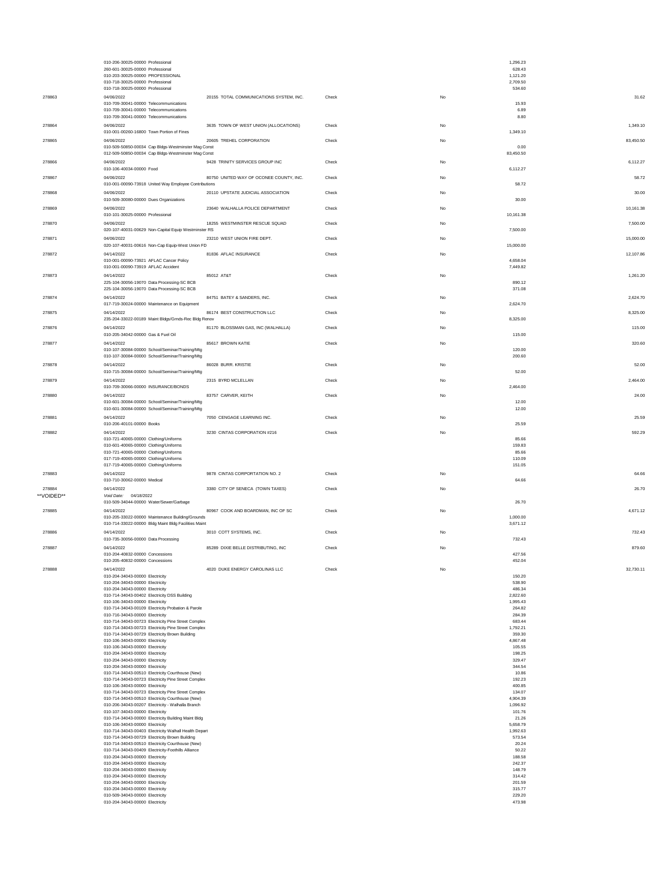|           | 010-206-30025-00000 Professional<br>260-601-30025-00000 Professional                                     |                                         |       |    | 1,296.23<br>628.43   |           |
|-----------|----------------------------------------------------------------------------------------------------------|-----------------------------------------|-------|----|----------------------|-----------|
|           | 010-203-30025-00000 PROFESSIONAL                                                                         |                                         |       |    | 1,121.20             |           |
|           | 010-718-30025-00000 Professional<br>010-718-30025-00000 Professional                                     |                                         |       |    | 2,709.50<br>534.60   |           |
| 278863    | 04/06/2022                                                                                               | 20155 TOTAL COMMUNICATIONS SYSTEM, INC. | Check | No |                      | 31.62     |
|           | 010-709-30041-00000 Telecommunications                                                                   |                                         |       |    | 15.93                |           |
|           | 010-709-30041-00000 Telecommunications                                                                   |                                         |       |    | 6.89                 |           |
|           | 010-709-30041-00000 Telecommunications                                                                   |                                         |       |    | 8.80                 |           |
| 278864    | 04/06/2022<br>010-001-00260-16800 Town Portion of Fines                                                  | 3635 TOWN OF WEST UNION (ALLOCATIONS)   | Check | No | 1,349.10             | 1,349.10  |
| 278865    | 04/06/2022                                                                                               | 20605 TREHEL CORPORATION                | Check | No |                      | 83,450.50 |
|           | 010-509-50850-00034 Cap Bldgs-Westminster Mag Const                                                      |                                         |       |    | 0.00                 |           |
|           | 012-509-50850-00034 Cap Bldgs-Westminster Mag Const                                                      |                                         |       |    | 83,450.50            |           |
| 278866    | 04/06/2022<br>010-106-40034-00000 Food                                                                   | 9428 TRINITY SERVICES GROUP INC         | Check | No | 6,112.27             | 6,112.27  |
| 278867    | 04/06/2022                                                                                               | 80750 UNITED WAY OF OCONEE COUNTY, INC. | Check | No |                      | 58.72     |
|           | 010-001-00090-73918 United Way Employee Contributions                                                    |                                         |       |    | 58.72                |           |
| 278868    | 04/06/2022                                                                                               | 20110 UPSTATE JUDICIAL ASSOCIATION      | Check | No |                      | 30.00     |
|           | 010-509-30080-00000 Dues Organizations                                                                   |                                         |       |    | 30.00                |           |
| 278869    | 04/06/2022<br>010-101-30025-00000 Professional                                                           | 23640 WALHALLA POLICE DEPARTMENT        | Check | No | 10,161.38            | 10,161.38 |
| 278870    | 04/06/2022                                                                                               | 18255 WESTMINSTER RESCUE SQUAD          | Check | No |                      | 7.500.00  |
|           | 020-107-40031-00629 Non-Capital Equip Westminster RS                                                     |                                         |       |    | 7,500.00             |           |
| 278871    | 04/06/2022                                                                                               | 23210 WEST UNION FIRE DEPT.             | Check | No |                      | 15,000.00 |
|           | 020-107-40031-00616 Non-Cap Equip-West Union FD                                                          |                                         |       |    | 15,000.00            |           |
| 278872    | 04/14/2022<br>010-001-00090-73921 AFLAC Cancer Policy                                                    | 81836 AFLAC INSURANCE                   | Check | No | 4,658.04             | 12,107.86 |
|           | 010-001-00090-73919 AFLAC Accident                                                                       |                                         |       |    | 7,449.82             |           |
| 278873    | 04/14/2022                                                                                               | 85012 AT&T                              | Check | No |                      | 1,261.20  |
|           | 225-104-30056-19070 Data Processing-SC BCB                                                               |                                         |       |    | 890.12               |           |
|           | 225-104-30056-19070 Data Processing-SC BCB                                                               |                                         |       |    | 371.08               |           |
| 278874    | 04/14/2022<br>017-719-30024-00000 Maintenance on Equipment                                               | 84751 BATEY & SANDERS, INC.             | Check | No | 2.624.70             | 2.624.70  |
| 278875    | 04/14/2022                                                                                               | 86174 BEST CONSTRUCTION LLC             | Check | No |                      | 8,325.00  |
|           | 235-204-33022-00189 Maint Bldgs/Grnds-Rec Bldg Renov                                                     |                                         |       |    | 8,325.00             |           |
| 278876    | 04/14/2022                                                                                               | 81170 BLOSSMAN GAS, INC (WALHALLA)      | Check | No |                      | 115.00    |
|           | 010-205-34042-00000 Gas & Fuel Oil                                                                       |                                         |       |    | 115.00               |           |
| 278877    | 04/14/2022<br>010-107-30084-00000 School/Seminar/Training/Mtg                                            | 85617 BROWN KATIE                       | Check | No | 120.00               | 320.60    |
|           | 010-107-30084-00000 School/Seminar/Training/Mtg                                                          |                                         |       |    | 200.60               |           |
| 278878    | 04/14/2022                                                                                               | 86028 BURR. KRISTIE                     | Check | No |                      | 52.00     |
|           | 010-715-30084-00000 School/Seminar/Training/Mtg                                                          |                                         |       |    | 52.00                |           |
| 278879    | 04/14/2022                                                                                               | 2315 BYRD MCLELLAN                      | Check | No |                      | 2.464.00  |
|           | 010-709-30066-00000 INSURANCE/BONDS                                                                      |                                         |       |    | 2,464.00             |           |
| 278880    | 04/14/2022<br>010-601-30084-00000 School/Seminar/Training/Mtg                                            | 83757 CARVER, KEITH                     | Check | No | 12.00                | 24.00     |
|           | 010-601-30084-00000 School/Seminar/Training/Mtg                                                          |                                         |       |    | 12.00                |           |
| 278881    | 04/14/2022                                                                                               | 7050 CENGAGE LEARNING INC.              | Check | No |                      | 25.59     |
|           |                                                                                                          |                                         |       |    |                      |           |
|           | 010-206-40101-00000 Books                                                                                |                                         |       |    | 25.59                |           |
| 278882    | 04/14/2022                                                                                               | 3230 CINTAS CORPORATION #216            | Check | No |                      | 592.29    |
|           | 010-721-40065-00000 Clothing/Uniforms                                                                    |                                         |       |    | 85.66<br>159.83      |           |
|           | 010-601-40065-00000 Clothing/Uniforms<br>010-721-40065-00000 Clothing/Uniforms                           |                                         |       |    | 85.66                |           |
|           | 017-719-40065-00000 Clothing/Uniforms                                                                    |                                         |       |    | 110.09               |           |
|           | 017-719-40065-00000 Clothing/Uniforms                                                                    |                                         |       |    | 151.05               |           |
| 278883    | 04/14/2022<br>010-710-30062-00000 Medical                                                                | 9878 CINTAS CORPORTATION NO. 2          | Check | No | 64.66                | 64.66     |
| 278884    | 04/14/2022                                                                                               | 3380 CITY OF SENECA (TOWN TAXES)        | Check | No |                      | 26.70     |
| "VOIDED"* | Void Date: 04/18/2022                                                                                    |                                         |       |    |                      |           |
|           | 010-509-34044-00000 Water/Sewer/Garbage                                                                  |                                         |       |    | 26.70                |           |
| 278885    | 04/14/2022                                                                                               | 80967 COOK AND BOARDMAN, INC OF SC      | Check | No |                      | 4,671.12  |
|           | 010-205-33022-00000 Maintenance Building/Grounds<br>010-714-33022-00000 Bldg Maint Bldg Facilities Maint |                                         |       |    | 1,000.00<br>3,671.12 |           |
| 278886    | 04/14/2022                                                                                               | 3010 COTT SYSTEMS, INC.                 | Check | No |                      | 732.43    |
|           | 010-735-30056-00000 Data Processing                                                                      |                                         |       |    | 732.43               |           |
| 278887    | 04/14/2022                                                                                               | 85289 DIXIE BELLE DISTRIBUTING, INC     | Check | No |                      | 879.60    |
|           | 010-204-40832-00000 Concessions<br>010-205-40832-00000 Concessions                                       |                                         |       |    | 427.56<br>452.04     |           |
| 278888    | 04/14/2022                                                                                               | 4020 DUKE ENERGY CAROLINAS LLC          | Check | No |                      | 32,730.11 |
|           | 010-204-34043-00000 Electricity                                                                          |                                         |       |    | 150.20               |           |
|           | 010-204-34043-00000 Electricity                                                                          |                                         |       |    | 538.90               |           |
|           | 010-204-34043-00000 Electricity<br>010-714-34043-00402 Electricity DSS Building                          |                                         |       |    | 486.34<br>2.822.60   |           |
|           | 010-106-34043-00000 Electricity                                                                          |                                         |       |    | 1.995.43             |           |
|           | 010-714-34043-00109 Electricity Probation & Parole<br>010-716-34043-00000 Electricity                    |                                         |       |    | 264.82<br>284.39     |           |
|           | 010-714-34043-00723 Electricity Pine Street Complex                                                      |                                         |       |    | 683.44               |           |
|           | 010-714-34043-00723 Electricity Pine Street Complex                                                      |                                         |       |    | 1,792.21             |           |
|           | 010-714-34043-00729 Electricity Brown Building<br>010-106-34043-00000 Electricity                        |                                         |       |    | 359.30<br>4,867.48   |           |
|           | 010-106-34043-00000 Electricity                                                                          |                                         |       |    | 105.55               |           |
|           | 010-204-34043-00000 Electricity                                                                          |                                         |       |    | 198.25<br>329.47     |           |
|           | 010-204-34043-00000 Electricity<br>010-204-34043-00000 Electricity                                       |                                         |       |    | 344.54               |           |
|           | 010-714-34043-00510 Electricity Courthouse (New)                                                         |                                         |       |    | 10.86                |           |
|           | 010-714-34043-00723 Electricity Pine Street Complex<br>010-106-34043-00000 Electricity                   |                                         |       |    | 192.23<br>400.85     |           |
|           | 010-714-34043-00723 Electricity Pine Street Complex                                                      |                                         |       |    | 134.07               |           |
|           | 010-714-34043-00510 Electricity Courthouse (New)                                                         |                                         |       |    | 4,904.39             |           |
|           | 010-206-34043-00207 Electricity - Walhalla Branch<br>010-107-34043-00000 Electricity                     |                                         |       |    | 1,096.92<br>101.76   |           |
|           | 010-714-34043-00000 Electricity Building Maint Bldg                                                      |                                         |       |    | 21.26                |           |
|           | 010-106-34043-00000 Electricity<br>010-714-34043-00403 Electricity Walhall Health Depart                 |                                         |       |    | 5,658.79<br>1,992.63 |           |
|           | 010-714-34043-00729 Electricity Brown Building                                                           |                                         |       |    | 573.54               |           |
|           | 010-714-34043-00510 Electricity Courthouse (New)<br>010-714-34043-00409 Electricity-Foothills Alliance   |                                         |       |    | 20.24<br>50.22       |           |
|           | 010-204-34043-00000 Electricity                                                                          |                                         |       |    | 188.58               |           |
|           | 010-204-34043-00000 Electricity                                                                          |                                         |       |    | 242.37               |           |
|           | 010-204-34043-00000 Electricity<br>010-204-34043-00000 Electricity                                       |                                         |       |    | 148.79<br>314.42     |           |
|           | 010-204-34043-00000 Electricity                                                                          |                                         |       |    | 201.59               |           |
|           | 010-204-34043-00000 Electricity                                                                          |                                         |       |    | 315.77               |           |
|           | 010-509-34043-00000 Electricity<br>010-204-34043-00000 Electricity                                       |                                         |       |    | 229.20<br>473.98     |           |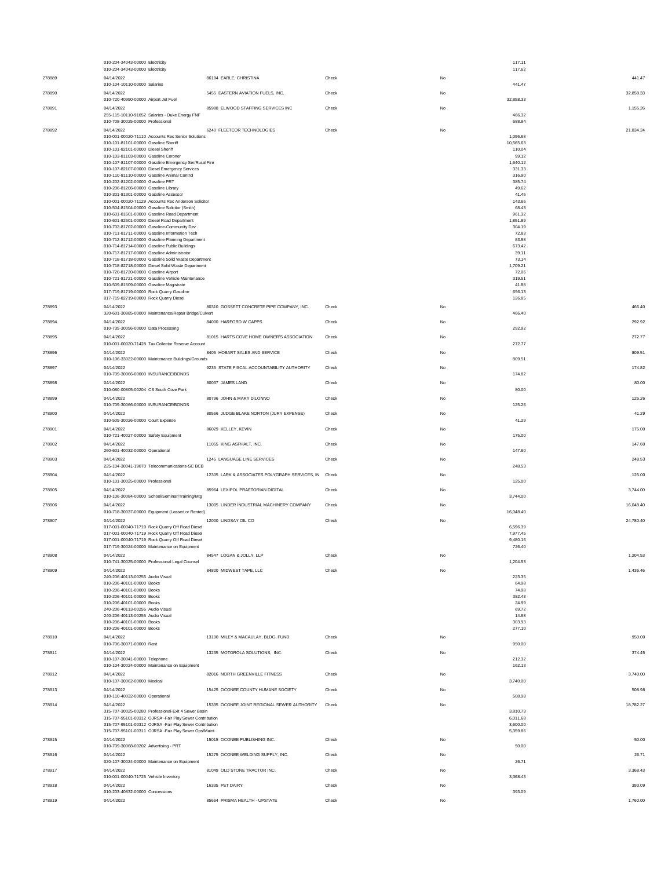|        | 010-204-34043-00000 Electricity<br>010-204-34043-00000 Electricity                                                 |                                                      |       | 117.11<br>117.62     |           |
|--------|--------------------------------------------------------------------------------------------------------------------|------------------------------------------------------|-------|----------------------|-----------|
| 278889 | 04/14/2022                                                                                                         | 86194 EARLE, CHRISTINA                               | Check | No                   | 441.47    |
| 278890 | 010-104-10110-00000 Salaries<br>04/14/2022                                                                         | 5455 EASTERN AVIATION FUELS, INC.                    | Check | 441.47<br>No         | 32,858.33 |
|        | 010-720-40990-00000 Airport Jet Fuel                                                                               |                                                      |       | 32,858.33            |           |
| 278891 | 04/14/2022<br>255-115-10110-91052 Salaries - Duke Energy FNF                                                       | 85988 ELWOOD STAFFING SERVICES INC                   | Check | No<br>466.32         | 1,155.26  |
|        | 010-708-30025-00000 Professional                                                                                   |                                                      |       | 688.94               |           |
| 278892 | 04/14/2022<br>010-001-00020-71110 Accounts Rec Senior Solutions                                                    | 6240 FLEETCOR TECHNOLOGIES                           | Check | No<br>1.096.68       | 21,834.24 |
|        | 010-101-81101-00000 Gasoline Sheriff<br>010-101-82101-00000 Diesel Sheriff                                         |                                                      |       | 10,565.63<br>110.04  |           |
|        | 010-103-81103-00000 Gasoline Coroner<br>010-107-81107-00000 Gasoline Emergency Ser/Rural Fire                      |                                                      |       | 99.12                |           |
|        | 010-107-82107-00000 Diesel Emergency Services                                                                      |                                                      |       | 1,640.12<br>331.33   |           |
|        | 010-110-81110-00000 Gasoline Animal Control<br>010-202-81202-00000 Gasoline PRT                                    |                                                      |       | 316.90<br>385.74     |           |
|        | 010-206-81206-00000 Gasoline Library<br>010-301-81301-00000 Gasoline Assessor                                      |                                                      |       | 49.62<br>41.45       |           |
|        | 010-001-00020-71129 Accounts Rec Anderson Solicitor<br>010-504-81504-00000 Gasoline Solicitor (Smith)              |                                                      |       | 143.66<br>68.43      |           |
|        | 010-601-81601-00000 Gasoline Road Department<br>010-601-82601-00000 Diesel Road Department                         |                                                      |       | 961.32<br>1.851.89   |           |
|        | 010-702-81702-00000 Gasoline-Community Dev.                                                                        |                                                      |       | 304.19               |           |
|        | 010-711-81711-00000 Gasoline Information Tech<br>010-712-81712-00000 Gasoline Planning Department                  |                                                      |       | 72.83<br>83.98       |           |
|        | 010-714-81714-00000 Gasoline Public Buildings<br>010-717-81717-00000 Gasoline Administrator                        |                                                      |       | 673.42<br>39.11      |           |
|        | 010-718-81718-00000 Gasoline Solid Waste Department<br>010-718-82718-00000 Diesel Solid Waste Department           |                                                      |       | 73.14<br>1,709.21    |           |
|        | 010-720-81720-00000 Gasoline Airport<br>010-721-81721-00000 Gasoline Vehicle Maintenance                           |                                                      |       | 72.06<br>319.51      |           |
|        | 010-509-81509-00000 Gasoline Magistrate<br>017-719-81719-00000 Rock Quarry Gasoline                                |                                                      |       | 41.88<br>656.13      |           |
|        | 017-719-82719-00000 Rock Quarry Diesel                                                                             |                                                      |       | 126.85               |           |
| 278893 | 04/14/2022<br>320-601-30885-00000 Maintenance/Repair Bridge/Culvert                                                | 80310 GOSSETT CONCRETE PIPE COMPANY, INC.            | Check | No<br>466.40         | 466.40    |
| 278894 | 04/14/2022                                                                                                         | 84000 HARFORD W CAPPS                                | Check | No                   | 292.92    |
| 278895 | 010-735-30056-00000 Data Processing<br>04/14/2022                                                                  | 81015 HARTS COVE HOME OWNER'S ASSOCIATION            | Check | 292.92<br>No         | 272.77    |
|        | 010-001-00020-71428 Tax Collector Reserve Account                                                                  |                                                      |       | 272.77               |           |
| 278896 | 04/14/2022<br>010-106-33022-00000 Maintenance Buildings/Grounds                                                    | 8405 HOBART SALES AND SERVICE                        | Check | No<br>809.51         | 809.51    |
| 278897 | 04/14/2022<br>010-709-30066-00000 INSURANCE/BONDS                                                                  | 9235 STATE FISCAL ACCOUNTABILITY AUTHORITY           | Check | No<br>174.82         | 174.82    |
| 278898 | 04/14/2022                                                                                                         | 80037 JAMES LAND                                     | Check | No                   | 80.00     |
| 278899 | 010-080-00805-00204 CS South Cove Park<br>04/14/2022                                                               | 80796 JOHN & MARY DILONNO                            | Check | 80.00<br>No          | 125.26    |
|        | 010-709-30066-00000 INSURANCE/BONDS                                                                                |                                                      |       | 125.26               |           |
| 278900 | 04/14/2022<br>010-509-30026-00000 Court Expense                                                                    | 80566 JUDGE BLAKE NORTON (JURY EXPENSE)              | Check | No<br>41.29          | 41.29     |
| 278901 | 04/14/2022<br>010-721-40027-00000 Safety Equipment                                                                 | 86029 KELLEY, KEVIN                                  | Check | No<br>175.00         | 175.00    |
| 278902 | 04/14/2022                                                                                                         | 11055 KING ASPHALT, INC.                             | Check | No                   | 147.60    |
| 278903 | 260-601-40032-00000 Operational<br>04/14/2022                                                                      | 1245 LANGUAGE LINE SERVICES                          | Check | 147.60<br>No         | 248.53    |
| 278904 | 225-104-30041-19070 Telecommunications-SC BCB<br>04/14/2022                                                        | 12305 LARK & ASSOCIATES POLYGRAPH SERVICES, IN Check |       | 248.53<br>No         | 125.00    |
|        | 010-101-30025-00000 Professional                                                                                   |                                                      |       | 125.00               |           |
| 278905 | 04/14/2022<br>010-106-30084-00000 School/Seminar/Training/Mtg                                                      | 85964 LEXIPOL PRAETORIAN DIGITAL                     | Check | No<br>3,744.00       | 3,744.00  |
| 278906 | 04/14/2022<br>010-718-30037-00000 Equipment (Leased or Rented)                                                     | 13005 LINDER INDUSTRIAL MACHINERY COMPANY            | Check | No<br>16,048.40      | 16,048.40 |
| 278907 | 04/14/2022                                                                                                         | 12000 LINDSAY OIL CO                                 | Check | No                   | 24,780.40 |
|        | 017-001-00040-71719 Rock Quarry Off Road Diesel<br>017-001-00040-71719 Rock Quarry Off Road Diesel                 |                                                      |       | 6,596.39<br>7.977.45 |           |
|        | 017-001-00040-71719 Rock Quarry Off Road Diesel<br>017-719-30024-00000 Maintenance on Equipment                    |                                                      |       | 9,480.16<br>726.40   |           |
| 278908 | 04/14/2022                                                                                                         | 84547 LOGAN & JOLLY, LLP                             | Check | No                   | 1,204.53  |
| 278909 | 010-741-30025-00000 Professional Legal Counsel<br>04/14/2022                                                       | 84820 MIDWEST TAPE, LLC                              | Check | 1,204.53<br>No       | 1,436.46  |
|        | 240-206-40113-00255 Audio Visual<br>010-206-40101-00000 Books                                                      |                                                      |       | 223.35<br>64.98      |           |
|        | 010-206-40101-00000 Books<br>010-206-40101-00000 Books                                                             |                                                      |       | 74.98<br>382.43      |           |
|        | 010-206-40101-00000 Books                                                                                          |                                                      |       | 24.99                |           |
|        | 240-206-40113-00255 Audio Visual<br>240-206-40113-00255 Audio Visual                                               |                                                      |       | 69.72<br>14.98       |           |
|        | 010-206-40101-00000 Books<br>010-206-40101-00000 Books                                                             |                                                      |       | 303.93<br>277.10     |           |
| 278910 | 04/14/2022<br>010-706-30071-00000 Rent                                                                             | 13100 MILEY & MACAULAY, BLDG. FUND                   | Check | No<br>950.00         | 950.00    |
| 278911 | 04/14/2022                                                                                                         | 13235 MOTOROLA SOLUTIONS, INC.                       | Check | No                   | 374.45    |
|        | 010-107-30041-00000 Telephone<br>010-104-30024-00000 Maintenance on Equipment                                      |                                                      |       | 212.32<br>162.13     |           |
| 278912 | 04/14/2022<br>010-107-30062-00000 Medical                                                                          | 82016 NORTH GREENVILLE FITNESS                       | Check | No<br>3,740.00       | 3,740.00  |
| 278913 | 04/14/2022                                                                                                         | 15425 OCONEE COUNTY HUMANE SOCIETY                   | Check | No                   | 508.98    |
| 278914 | 010-110-40032-00000 Operational<br>04/14/2022                                                                      | 15335 OCONEE JOINT REGIONAL SEWER AUTHORITY          | Check | 508.98<br>No         | 18,782.27 |
|        | 315-707-30025-00280 Professional-Exit 4 Sewer Basir                                                                |                                                      |       | 3,810.73             |           |
|        | 315-707-95101-00312 OJRSA -Fair Play Sewer Contribution<br>315-707-95101-00312 OJRSA -Fair Play Sewer Contribution |                                                      |       | 6,011.68<br>3,600.00 |           |
| 278915 | 315-707-95101-00311 OJRSA -Fair Play Sewer Ops/Maint<br>04/14/2022                                                 | 15015 OCONEE PUBLISHING INC.                         | Check | 5,359.86<br>No       | 50.00     |
|        | 010-709-30068-00202 Advertising - PRT                                                                              |                                                      |       | 50.00                |           |
| 278916 | 04/14/2022<br>020-107-30024-00000 Maintenance on Equipment                                                         | 15275 OCONEE WELDING SUPPLY, INC.                    | Check | No<br>26.71          | 26.71     |
| 278917 | 04/14/2022<br>010-001-00040-71725 Vehicle Inventory                                                                | 81049 OLD STONE TRACTOR INC.                         | Check | No<br>3.368.43       | 3,368.43  |
| 278918 | 04/14/2022                                                                                                         | 16335 PET DAIRY                                      | Check | No                   | 393.09    |
| 278919 | 010-203-40832-00000 Concessions<br>04/14/2022                                                                      | 85664 PRISMA HEALTH - UPSTATE                        | Check | 393.09<br>No         | 1,760.00  |
|        |                                                                                                                    |                                                      |       |                      |           |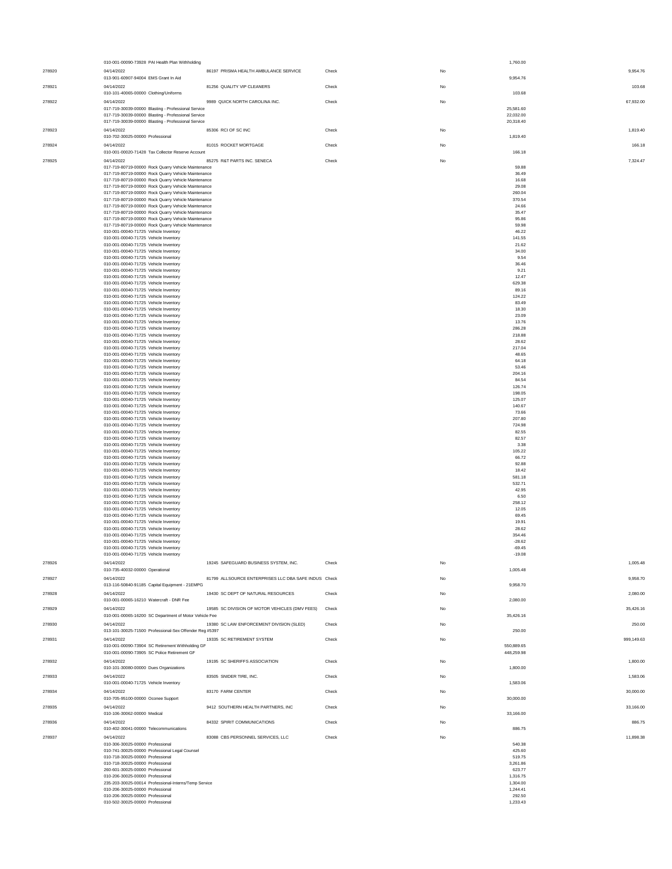|        | 010-001-00090-73928 PAI Health Plan Withholding                                                            |                                                      |       | 1,760.00               |            |
|--------|------------------------------------------------------------------------------------------------------------|------------------------------------------------------|-------|------------------------|------------|
| 278920 | 04/14/2022                                                                                                 | 86197 PRISMA HEALTH AMBULANCE SERVICE                | Check | No                     | 9,954.76   |
| 278921 | 013-901-60907-94004 EMS Grant In Aid<br>04/14/2022                                                         | 81256 QUALITY VIP CLEANERS                           | Check | 9,954.76<br>No         | 103.68     |
|        | 010-101-40065-00000 Clothing/Uniforms                                                                      |                                                      |       | 103.68                 |            |
| 278922 | 04/14/2022                                                                                                 | 9989 QUICK NORTH CAROLINA INC.                       | Check | No                     | 67.932.00  |
|        | 017-719-30039-00000 Blasting - Professional Service<br>017-719-30039-00000 Blasting - Professional Service |                                                      |       | 25,581.60<br>22,032.00 |            |
|        | 017-719-30039-00000 Blasting - Professional Service                                                        |                                                      |       | 20,318.40              |            |
| 278923 | 04/14/2022                                                                                                 | 85306 RCI OF SC INC                                  | Check | No                     | 1,819.40   |
|        | 010-702-30025-00000 Professional                                                                           |                                                      |       | 1,819.40               |            |
| 278924 | 04/14/2022<br>010-001-00020-71428 Tax Collector Reserve Account                                            | 81015 ROCKET MORTGAGE                                | Check | No<br>166.18           | 166.18     |
| 278925 | 04/14/2022                                                                                                 | 85275 R&T PARTS INC. SENECA                          | Check | No                     | 7,324.47   |
|        | 017-719-80719-00000 Rock Quarry Vehicle Maintenance                                                        |                                                      |       | 59.88                  |            |
|        | 017-719-80719-00000 Rock Quarry Vehicle Maintenance<br>017-719-80719-00000 Rock Quarry Vehicle Maintenance |                                                      |       | 36.49<br>16.68         |            |
|        | 017-719-80719-00000 Rock Quarry Vehicle Maintenance                                                        |                                                      |       | 29.08                  |            |
|        | 017-719-80719-00000 Rock Quarry Vehicle Maintenance                                                        |                                                      |       | 260.04<br>370.54       |            |
|        | 017-719-80719-00000 Rock Quarry Vehicle Maintenance<br>017-719-80719-00000 Rock Quarry Vehicle Maintenance |                                                      |       | 24.66                  |            |
|        | 017-719-80719-00000 Rock Quarry Vehicle Maintenance                                                        |                                                      |       | 35.47                  |            |
|        | 017-719-80719-00000 Rock Quarry Vehicle Maintenance<br>017-719-80719-00000 Rock Quarry Vehicle Maintenance |                                                      |       | 95.86<br>59.98         |            |
|        | 010-001-00040-71725 Vehicle Inventory                                                                      |                                                      |       | 46.22                  |            |
|        | 010-001-00040-71725 Vehicle Inventory<br>010-001-00040-71725 Vehicle Inventory                             |                                                      |       | 141.55<br>21.62        |            |
|        | 010-001-00040-71725 Vehicle Inventory                                                                      |                                                      |       | 34.00                  |            |
|        | 010-001-00040-71725 Vehicle Inventory                                                                      |                                                      |       | 9.54<br>36.46          |            |
|        | 010-001-00040-71725 Vehicle Inventory<br>010-001-00040-71725 Vehicle Inventory                             |                                                      |       | 9.21                   |            |
|        | 010-001-00040-71725 Vehicle Inventory                                                                      |                                                      |       | 12.47                  |            |
|        | 010-001-00040-71725 Vehicle Inventory<br>010-001-00040-71725 Vehicle Inventory                             |                                                      |       | 629.38<br>89.16        |            |
|        | 010-001-00040-71725 Vehicle Inventory                                                                      |                                                      |       | 124.22                 |            |
|        | 010-001-00040-71725 Vehicle Inventory<br>010-001-00040-71725 Vehicle Inventory                             |                                                      |       | 83.49<br>18.30         |            |
|        | 010-001-00040-71725 Vehicle Inventory                                                                      |                                                      |       | 23.09                  |            |
|        | 010-001-00040-71725 Vehicle Inventory                                                                      |                                                      |       | 13.76                  |            |
|        | 010-001-00040-71725 Vehicle Inventory<br>010-001-00040-71725 Vehicle Inventory                             |                                                      |       | 286.28<br>218.88       |            |
|        | 010-001-00040-71725 Vehicle Inventory                                                                      |                                                      |       | 28.62                  |            |
|        | 010-001-00040-71725 Vehicle Inventory<br>010-001-00040-71725 Vehicle Inventory                             |                                                      |       | 217.04<br>48.65        |            |
|        | 010-001-00040-71725 Vehicle Inventory                                                                      |                                                      |       | 64.18                  |            |
|        | 010-001-00040-71725 Vehicle Inventory<br>010-001-00040-71725 Vehicle Inventory                             |                                                      |       | 53.46<br>204.16        |            |
|        | 010-001-00040-71725 Vehicle Inventory                                                                      |                                                      |       | 84.54                  |            |
|        | 010-001-00040-71725 Vehicle Inventory                                                                      |                                                      |       | 126.74                 |            |
|        | 010-001-00040-71725 Vehicle Inventory<br>010-001-00040-71725 Vehicle Inventory                             |                                                      |       | 198.05<br>125.07       |            |
|        | 010-001-00040-71725 Vehicle Inventory                                                                      |                                                      |       | 140.67                 |            |
|        | 010-001-00040-71725 Vehicle Inventory<br>010-001-00040-71725 Vehicle Inventory                             |                                                      |       | 73.66<br>207.80        |            |
|        | 010-001-00040-71725 Vehicle Inventory                                                                      |                                                      |       | 724.98                 |            |
|        | 010-001-00040-71725 Vehicle Inventory                                                                      |                                                      |       | 82.55<br>82.57         |            |
|        | 010-001-00040-71725 Vehicle Inventory<br>010-001-00040-71725 Vehicle Inventory                             |                                                      |       | 3.38                   |            |
|        | 010-001-00040-71725 Vehicle Inventory                                                                      |                                                      |       | 105.22                 |            |
|        | 010-001-00040-71725 Vehicle Inventory<br>010-001-00040-71725 Vehicle Inventory                             |                                                      |       | 66.72<br>92.88         |            |
|        | 010-001-00040-71725 Vehicle Inventory                                                                      |                                                      |       | 18.42                  |            |
|        | 010-001-00040-71725 Vehicle Inventory<br>010-001-00040-71725 Vehicle Inventory                             |                                                      |       | 581.18<br>532.71       |            |
|        | 010-001-00040-71725 Vehicle Inventory                                                                      |                                                      |       | 42.95                  |            |
|        | 010-001-00040-71725 Vehicle Inventory                                                                      |                                                      |       | 6.50                   |            |
|        | 010-001-00040-71725 Vehicle Inventory<br>010-001-00040-71725 Vehicle Inventory                             |                                                      |       | 258.12<br>12.05        |            |
|        | 010-001-00040-71725 Vehicle Inventory                                                                      |                                                      |       | 69.45                  |            |
|        | 010-001-00040-71725 Vehicle Inventory<br>010-001-00040-71725 Vehicle Inventory                             |                                                      |       | 19.91<br>28.62         |            |
|        | 010-001-00040-71725 Vehicle Inventory                                                                      |                                                      |       | 354.46                 |            |
|        | 010-001-00040-71725 Vehicle Inventory<br>010-001-00040-71725 Vehicle Inventory                             |                                                      |       | $-28.62$<br>$-69.45$   |            |
|        | 010-001-00040-71725 Vehicle Inventory                                                                      |                                                      |       | $-19.08$               |            |
| 278926 | 04/14/2022                                                                                                 | 19245 SAFEGUARD BUSINESS SYSTEM. INC.                | Check | No                     | 1.005.48   |
|        | 010-735-40032-00000 Operational                                                                            |                                                      |       | 1.005.48               |            |
| 278927 | 04/14/2022<br>013-116-50840-91185 Capital Equipment - 21EMPG                                               | 81799 ALLSOURCE ENTERPRISES LLC DBA SAFE INDUS Check |       | No<br>9,958.70         | 9,958.70   |
| 278928 | 04/14/2022                                                                                                 | 19430 SC DEPT OF NATURAL RESOURCES                   | Check | No                     | 2,080.00   |
|        | 010-001-00065-16210 Watercraft - DNR Fee                                                                   |                                                      |       | 2,080.00               |            |
| 278929 | 04/14/2022                                                                                                 | 19585 SC DIVISION OF MOTOR VEHICLES (DMV FEES)       | Check | No                     | 35.426.16  |
|        | 010-001-00065-16200 SC Department of Motor Vehicle Fee                                                     |                                                      |       | 35,426.16              |            |
| 278930 | 04/14/2022<br>013-101-30025-71500 Professional-Sex Offender Reg #5397                                      | 19380 SC LAW ENFORCEMENT DIVISION (SLED)             | Check | No<br>250.00           | 250.00     |
| 278931 | 04/14/2022                                                                                                 | 19335 SC RETIREMENT SYSTEM                           | Check | No                     | 999,149.63 |
|        | 010-001-00090-73904 SC Retirement Withholding GF                                                           |                                                      |       | 550,889.65             |            |
|        | 010-001-00090-73905 SC Police Retirement GF                                                                |                                                      |       | 448,259.98             |            |
| 278932 | 04/14/2022<br>010-101-30080-00000 Dues Organizations                                                       | 19195 SC SHERIFFS ASSOCIATION                        | Check | No<br>1,800.00         | 1,800.00   |
| 278933 | 04/14/2022                                                                                                 | 83505 SNIDER TIRE, INC.                              | Check | No                     | 1.583.06   |
|        | 010-001-00040-71725 Vehicle Inventory                                                                      |                                                      |       | 1.583.06               |            |
| 278934 | 04/14/2022                                                                                                 | 83170 FARM CENTER                                    | Check | No                     | 30,000.00  |
|        | 010-705-95100-00000 Oconee Support                                                                         |                                                      |       | 30,000.00              |            |
| 278935 | 04/14/2022<br>010-106-30062-00000 Medical                                                                  | 9412 SOUTHERN HEALTH PARTNERS, INC                   | Check | No<br>33,166.00        | 33,166.00  |
| 278936 | 04/14/2022                                                                                                 | 84332 SPIRIT COMMUNICATIONS                          | Check | No                     | 886.75     |
|        | 010-402-30041-00000 Telecommunications                                                                     |                                                      |       | 886.75                 |            |
| 278937 | 04/14/2022                                                                                                 | 83088 CBS PERSONNEL SERVICES, LLC                    | Check | No                     | 11,898.38  |
|        | 010-306-30025-00000 Professional<br>010-741-30025-00000 Professional Legal Counsel                         |                                                      |       | 540.38<br>425.60       |            |
|        | 010-718-30025-00000 Professional                                                                           |                                                      |       | 519.75                 |            |
|        | 010-718-30025-00000 Professional                                                                           |                                                      |       | 3,261.86               |            |
|        | 260-601-30025-00000 Professional<br>010-206-30025-00000 Professional                                       |                                                      |       | 623.77<br>1,316.75     |            |
|        | 235-203-30025-00014 Professional-Interns/Temp Service                                                      |                                                      |       | 1,304.00               |            |
|        | 010-206-30025-00000 Professional<br>010-206-30025-00000 Professional                                       |                                                      |       | 1,244.41<br>292.50     |            |
|        | 010-502-30025-00000 Professional                                                                           |                                                      |       | 1,233.43               |            |
|        |                                                                                                            |                                                      |       |                        |            |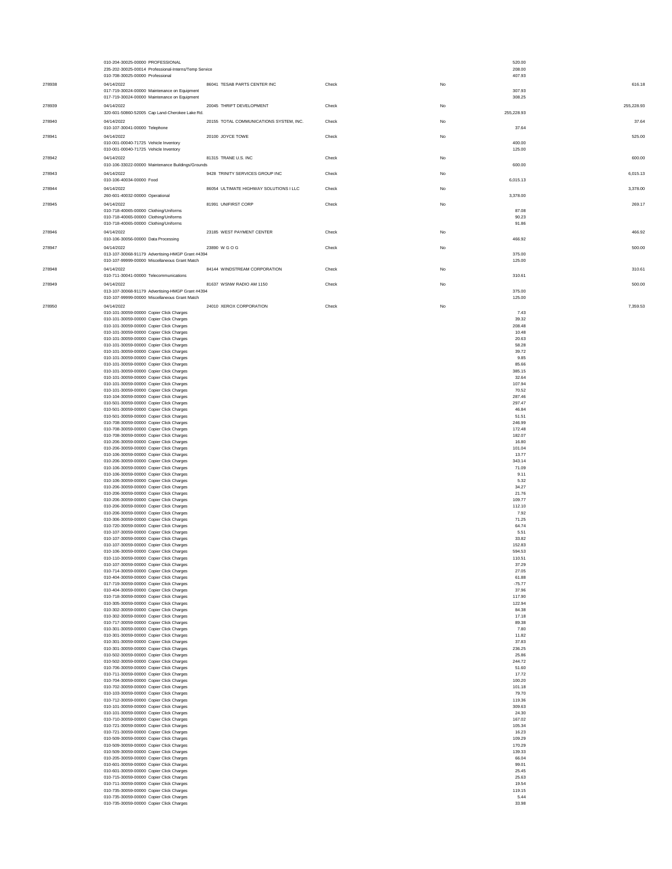|        | 010-204-30025-00000 PROFESSIONAL<br>235-202-30025-00014 Professional-Interns/Temp Service                  |                                         |       |    | 520.00<br>208.00 |            |
|--------|------------------------------------------------------------------------------------------------------------|-----------------------------------------|-------|----|------------------|------------|
|        | 010-708-30025-00000 Professional                                                                           | 86041 TESAB PARTS CENTER INC            |       |    | 407.93           |            |
| 278938 | 04/14/2022<br>017-719-30024-00000 Maintenance on Equipment<br>017-719-30024-00000 Maintenance on Equipment |                                         | Check | No | 307.93<br>308.25 | 616.18     |
| 278939 | 04/14/2022<br>320-601-50860-52005 Cap Land-Cherokee Lake Rd.                                               | 20045 THRIFT DEVELOPMENT                | Check | No | 255,228.93       | 255,228.93 |
| 278940 | 04/14/2022<br>010-107-30041-00000 Telephone                                                                | 20155 TOTAL COMMUNICATIONS SYSTEM, INC. | Check | No | 37.64            | 37.64      |
| 278941 | 04/14/2022<br>010-001-00040-71725 Vehicle Inventory<br>010-001-00040-71725 Vehicle Inventory               | 20100 JOYCE TOWE                        | Check | No | 400.00<br>125.00 | 525.00     |
| 278942 | 04/14/2022<br>010-106-33022-00000 Maintenance Buildings/Grounds                                            | 81315 TRANE U.S. INC                    | Check | No | 600.00           | 600.00     |
| 278943 | 04/14/2022<br>010-106-40034-00000 Food                                                                     | 9428 TRINITY SERVICES GROUP INC         | Check | No | 6,015.13         | 6,015.13   |
| 278944 | 04/14/2022<br>260-601-40032-00000 Operational                                                              | 86054 ULTIMATE HIGHWAY SOLUTIONS I LLC  | Check | No | 3,378.00         | 3,378.00   |
| 278945 | 04/14/2022<br>010-718-40065-00000 Clothing/Uniforms<br>010-718-40065-00000 Clothing/Uniforms               | 81991 UNIFIRST CORP                     | Check | No | 87.08<br>90.23   | 269.17     |
| 278946 | 010-718-40065-00000 Clothing/Uniforms<br>04/14/2022                                                        | 23185 WEST PAYMENT CENTER               | Check | No | 91.86            | 466.92     |
| 278947 | 010-106-30056-00000 Data Processing<br>04/14/2022                                                          | 23890 W G O G                           | Check | No | 466.92           | 500.00     |
|        | 013-107-30068-91179 Advertising-HMGP Grant #4394<br>010-107-99999-00000 Miscellaneous Grant Match          |                                         |       |    | 375.00<br>125.00 |            |
| 278948 | 04/14/2022<br>010-711-30041-00000 Telecommunications                                                       | 84144 WINDSTREAM CORPORATION            | Check | No | 310.61           | 310.61     |
| 278949 | 04/14/2022<br>013-107-30068-91179 Advertising-HMGP Grant #4394                                             | 81637 WSNW RADIO AM 1150                | Check | No | 375.00           | 500.00     |
| 278950 | 010-107-99999-00000 Miscellaneous Grant Match<br>04/14/2022                                                | 24010 XEROX CORPORATION                 | Check | No | 125.00           | 7,359.53   |
|        | 010-101-30059-00000 Copier Click Charges                                                                   |                                         |       |    | 7.43             |            |
|        | 010-101-30059-00000 Copier Click Charges<br>010-101-30059-00000 Copier Click Charges                       |                                         |       |    | 39.32<br>208.48  |            |
|        | 010-101-30059-00000 Copier Click Charges<br>010-101-30059-00000 Copier Click Charges                       |                                         |       |    | 10.48<br>20.63   |            |
|        | 010-101-30059-00000 Copier Click Charges                                                                   |                                         |       |    | 58.28            |            |
|        | 010-101-30059-00000 Copier Click Charges<br>010-101-30059-00000 Copier Click Charges                       |                                         |       |    | 39.72<br>9.85    |            |
|        | 010-101-30059-00000 Copier Click Charges<br>010-101-30059-00000 Copier Click Charges                       |                                         |       |    | 85.66<br>385.15  |            |
|        | 010-101-30059-00000 Copier Click Charges                                                                   |                                         |       |    | 32.64            |            |
|        | 010-101-30059-00000 Copier Click Charges<br>010-101-30059-00000 Copier Click Charges                       |                                         |       |    | 107.94<br>70.52  |            |
|        | 010-104-30059-00000 Copier Click Charges<br>010-501-30059-00000 Copier Click Charges                       |                                         |       |    | 287.46<br>297.47 |            |
|        | 010-501-30059-00000 Copier Click Charges                                                                   |                                         |       |    | 46.84            |            |
|        | 010-501-30059-00000 Copier Click Charges<br>010-708-30059-00000 Copier Click Charges                       |                                         |       |    | 51.51<br>246.99  |            |
|        | 010-708-30059-00000 Copier Click Charges                                                                   |                                         |       |    | 172.48           |            |
|        | 010-708-30059-00000 Copier Click Charges<br>010-206-30059-00000 Copier Click Charges                       |                                         |       |    | 182.07<br>16.80  |            |
|        | 010-206-30059-00000 Copier Click Charges<br>010-106-30059-00000 Copier Click Charges                       |                                         |       |    | 101.04<br>13.77  |            |
|        | 010-206-30059-00000 Copier Click Charges                                                                   |                                         |       |    | 343.14           |            |
|        | 010-106-30059-00000 Copier Click Charges<br>010-106-30059-00000 Copier Click Charges                       |                                         |       |    | 71.09<br>9.11    |            |
|        | 010-106-30059-00000 Copier Click Charges                                                                   |                                         |       |    | 5.32             |            |
|        | 010-206-30059-00000 Copier Click Charges<br>010-206-30059-00000 Copier Click Charges                       |                                         |       |    | 34.27<br>21.76   |            |
|        | 010-206-30059-00000 Copier Click Charges<br>010-206-30059-00000 Copier Click Charges                       |                                         |       |    | 109.77<br>112.10 |            |
|        | 010-206-30059-00000 Copier Click Charges                                                                   |                                         |       |    | 7.92             |            |
|        | 010-306-30059-00000 Copier Click Charges<br>010-720-30059-00000 Copier Click Charges                       |                                         |       |    | 71.25<br>64.74   |            |
|        | 010-107-30059-00000 Copier Click Charges                                                                   |                                         |       |    | 5.51             |            |
|        | 010-107-30059-00000 Copier Click Charges<br>010-107-30059-00000 Copier Click Charges                       |                                         |       |    | 33.82<br>152.83  |            |
|        | 010-106-30059-00000 Copier Click Charges<br>010-110-30059-00000 Copier Click Charges                       |                                         |       |    | 594.53<br>110.51 |            |
|        | 010-107-30059-00000 Copier Click Charges                                                                   |                                         |       |    | 37.29            |            |
|        | 010-714-30059-00000 Copier Click Charges<br>010-404-30059-00000 Copier Click Charges                       |                                         |       |    | 27.05<br>61.88   |            |
|        | 017-719-30059-00000 Copier Click Charges                                                                   |                                         |       |    | $-75.77$         |            |
|        | 010-404-30059-00000 Copier Click Charges<br>010-718-30059-00000 Copier Click Charges                       |                                         |       |    | 37.96<br>117.90  |            |
|        | 010-305-30059-00000 Copier Click Charges<br>010-302-30059-00000 Copier Click Charges                       |                                         |       |    | 122.94<br>84.38  |            |
|        | 010-302-30059-00000 Copier Click Charges                                                                   |                                         |       |    | 17.18            |            |
|        | 010-717-30059-00000 Copier Click Charges<br>010-301-30059-00000 Copier Click Charges                       |                                         |       |    | 89.38<br>7.80    |            |
|        | 010-301-30059-00000 Copier Click Charges<br>010-301-30059-00000 Copier Click Charges                       |                                         |       |    | 11.82<br>37.83   |            |
|        | 010-301-30059-00000 Copier Click Charges                                                                   |                                         |       |    | 236.25           |            |
|        | 010-502-30059-00000 Copier Click Charges<br>010-502-30059-00000 Copier Click Charges                       |                                         |       |    | 25.86<br>244.72  |            |
|        | 010-706-30059-00000 Copier Click Charges                                                                   |                                         |       |    | 51.60            |            |
|        | 010-711-30059-00000 Copier Click Charges<br>010-704-30059-00000 Copier Click Charges                       |                                         |       |    | 17.72<br>100.20  |            |
|        | 010-702-30059-00000 Copier Click Charges<br>010-103-30059-00000 Copier Click Charges                       |                                         |       |    | 101.18<br>79.70  |            |
|        | 010-712-30059-00000 Copier Click Charges                                                                   |                                         |       |    | 119.36           |            |
|        | 010-101-30059-00000 Copier Click Charges<br>010-101-30059-00000 Copier Click Charges                       |                                         |       |    | 309.63<br>24.30  |            |
|        | 010-710-30059-00000 Copier Click Charges<br>010-721-30059-00000 Copier Click Charges                       |                                         |       |    | 167.02<br>105.34 |            |
|        | 010-721-30059-00000 Copier Click Charges                                                                   |                                         |       |    | 16.23            |            |
|        | 010-509-30059-00000 Copier Click Charges<br>010-509-30059-00000 Copier Click Charges                       |                                         |       |    | 109.29<br>170.29 |            |
|        | 010-509-30059-00000 Copier Click Charges<br>010-205-30059-00000 Copier Click Charges                       |                                         |       |    | 139.33<br>66.04  |            |
|        | 010-601-30059-00000 Copier Click Charges                                                                   |                                         |       |    | 99.01            |            |
|        | 010-601-30059-00000 Copier Click Charges<br>010-715-30059-00000 Copier Click Charges                       |                                         |       |    | 25.45<br>25.63   |            |
|        | 010-711-30059-00000 Copier Click Charges                                                                   |                                         |       |    | 19.54            |            |
|        | 010-735-30059-00000 Copier Click Charges<br>010-735-30059-00000 Copier Click Charges                       |                                         |       |    | 119.15<br>5.44   |            |
|        | 010-735-30059-00000 Copier Click Charges                                                                   |                                         |       |    | 33.98            |            |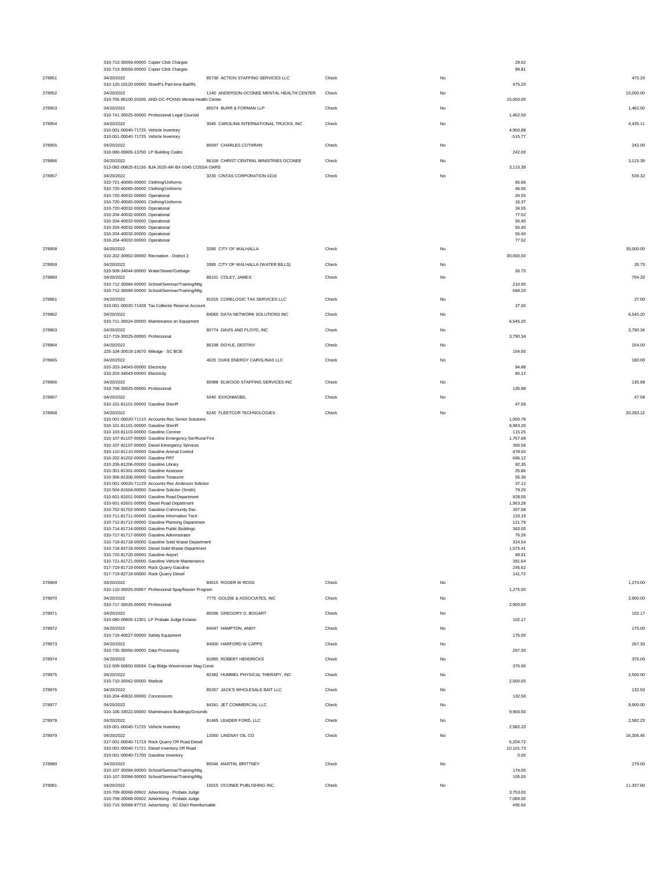|        | 010-713-30059-00000 Copier Click Charges<br>010-713-30059-00000 Copier Click Charges                       |                                           |       |    | 29.62<br>99.81        |           |
|--------|------------------------------------------------------------------------------------------------------------|-------------------------------------------|-------|----|-----------------------|-----------|
| 278951 | 04/20/2022                                                                                                 | 85736 ACTION STAFFING SERVICES LLC        | Check | No |                       | 475.20    |
|        | 010-120-10120-00000 Sheriff's Part-time Bailiffs                                                           |                                           |       |    | 475.20                |           |
| 278952 | 04/20/2022<br>010-705-95100-20206 AND-OC-PCKNS Mental Health Center                                        | 1140 ANDERSON-OCONEE MENTAL HEALTH CENTER | Check | No | 15,000.00             | 15,000.00 |
| 278953 | 04/20/2022<br>010-741-30025-00000 Professional Legal Counsel                                               | 85574 BURR & FORMAN LLP                   | Check | No | 1,462.50              | 1,462.50  |
| 278954 | 04/20/2022<br>010-001-00040-71725 Vehicle Inventory                                                        | 3045 CAROLINA INTERNATIONAL TRUCKS, INC   | Check | No | 4.950.88              | 4.435.11  |
| 278955 | 010-001-00040-71725 Vehicle Inventory<br>04/20/2022                                                        | 80097 CHARLES COTHRAN                     | Check | No | $-515.77$             | 242.00    |
| 278956 | 010-080-00805-13700 LP Building Codes<br>04/20/2022                                                        | 86109 CHRIST CENTRAL MINISTRIES OCONEE    | Check | No | 242.00                | 3,115.39  |
|        | 013-082-00825-91156 BJA 2020-AR-BX-0045 COSSA OARS                                                         |                                           |       |    | 3,115.39              |           |
| 278957 | 04/20/2022<br>010-721-40065-00000 Clothing/Uniforms                                                        | 3230 CINTAS CORPORATION #216              | Check | No | 85.66                 | 539.32    |
|        | 010-720-40065-00000 Clothing/Uniforms<br>010-720-40032-00000 Operational                                   |                                           |       |    | 46.95<br>34.55        |           |
|        | 010-720-40065-00000 Clothing/Uniforms<br>010-720-40032-00000 Operational                                   |                                           |       |    | 16.37<br>34.55        |           |
|        | 010-204-40032-00000 Operational                                                                            |                                           |       |    | 77.52<br>55.40        |           |
|        | 010-204-40032-00000 Operational<br>010-204-40032-00000 Operational                                         |                                           |       |    | 55.40                 |           |
|        | 010-204-40032-00000 Operational<br>010-204-40032-00000 Operational                                         |                                           |       |    | 55.40<br>77.52        |           |
| 278958 | 04/20/2022<br>010-202-30902-00000 Recreation - District 2                                                  | 3285 CITY OF WALHALLA                     | Check | No | 30,000.00             | 30,000.00 |
| 278959 | 04/20/2022                                                                                                 | 3385 CITY OF WALHALLA (WATER BILLS)       | Check | No |                       | 26.70     |
| 278960 | 010-509-34044-00000 Water/Sewer/Garbage<br>04/20/2022                                                      | 86101 COLEY, JAMES                        | Check | No | 26.70                 | 794.20    |
|        | 010-712-30084-00000 School/Seminar/Training/Mtg<br>010-712-30084-00000 School/Seminar/Training/Mtg         |                                           |       |    | 210.00<br>584.20      |           |
| 278961 | 04/20/2022<br>010-001-00020-71428 Tax Collector Reserve Account                                            | 81015 CORELOGIC TAX SERVICES LLC          | Check | No |                       | 27.00     |
| 278962 | 04/20/2022                                                                                                 | 84060 DATA NETWORK SOLUTIONS INC          | Check | No | 27.00                 | 6,545.20  |
|        | 010-711-30024-00000 Maintenance on Equipment                                                               |                                           |       |    | 6,545.20              |           |
| 278963 | 04/20/2022<br>017-719-30025-00000 Professional                                                             | 80774 DAVIS AND FLOYD, INC                | Check | No | 3,790.34              | 3,790.34  |
| 278964 | 04/20/2022<br>225-104-30018-19070 Mileage - SC BCB                                                         | 86198 DOYLE, DESTINY                      | Check | No | 154.00                | 154.00    |
| 278965 | 04/20/2022                                                                                                 | 4020 DUKE ENERGY CAROLINAS LLC            | Check | No |                       | 180.00    |
|        | 010-203-34043-00000 Electricity<br>010-203-34043-00000 Electricity                                         |                                           |       |    | 94.88<br>85.12        |           |
| 278966 | 04/20/2022                                                                                                 | 85988 ELWOOD STAFFING SERVICES INC        | Check | No |                       | 135.98    |
| 278967 | 010-708-30025-00000 Professional<br>04/20/2022                                                             | 5040 EXXONMOBIL                           | Check | No | 135.98                | 47.58     |
|        | 010-101-81101-00000 Gasoline Sheriff                                                                       |                                           |       | No | 47.58                 |           |
| 278968 | 04/20/2022<br>010-001-00020-71110 Accounts Rec Senior Solutions                                            | 6240 FLEETCOR TECHNOLOGIES                | Check |    | 1,000.78              | 20,293.12 |
|        | 010-101-81101-00000 Gasoline Sheriff<br>010-103-81103-00000 Gasoline Coroner                               |                                           |       |    | 8,983.20<br>115.25    |           |
|        | 010-107-81107-00000 Gasoline Emergency Ser/Rural Fire<br>010-107-82107-00000 Diesel Emergency Services     |                                           |       |    | 1,767.68<br>300.56    |           |
|        | 010-110-81110-00000 Gasoline Animal Control<br>010-202-81202-00000 Gasoline PRT                            |                                           |       |    | 478.60<br>696.12      |           |
|        | 010-206-81206-00000 Gasoline Library<br>010-301-81301-00000 Gasoline Assessor                              |                                           |       |    | 92.35<br>25.86        |           |
|        | 010-306-81306-00000 Gasoline Treasurer<br>010-001-00020-71129 Accounts Rec Anderson Solicitor              |                                           |       |    | 55.36<br>37.12        |           |
|        | 010-504-81504-00000 Gasoline Solicitor (Smith)                                                             |                                           |       |    | 79.20                 |           |
|        | 010-601-81601-00000 Gasoline Road Department<br>010-601-82601-00000 Diesel Road Department                 |                                           |       |    | 928.00<br>1,963.28    |           |
|        | 010-702-81702-00000 Gasoline-Community Dev<br>010-711-81711-00000 Gasoline Information Tech                |                                           |       |    | 307.58<br>133.19      |           |
|        | 010-712-81712-00000 Gasoline Planning Department<br>010-714-81714-00000 Gasoline Public Buildings          |                                           |       |    | 121.79<br>363.00      |           |
|        | 010-717-81717-00000 Gasoline Administrator<br>010-718-81718-00000 Gasoline Solid Waste Department          |                                           |       |    | 76.26<br>324.54       |           |
|        | 010-718-82718-00000 Diesel Solid Waste Department<br>010-720-81720-00000 Gasoline Airport                  |                                           |       |    | 1,575.41<br>89.01     |           |
|        | 010-721-81721-00000 Gasoline Vehicle Maintenance                                                           |                                           |       |    | 391.64                |           |
|        | 017-719-81719-00000 Rock Quarry Gasoline<br>017-719-82719-00000 Rock Quarry Diesel                         |                                           |       |    | 245.62<br>141.72      |           |
| 278969 | 04/20/2022<br>010-110-30025-00067 Professional Spay/Neuter Program                                         | 84015 ROGER W ROSS                        | Check | No | 1,275.00              | 1,275.00  |
| 278970 | 04/20/2022                                                                                                 | 7775 GOLDIE & ASSOCIATES, INC             | Check | No |                       | 2,900.00  |
| 278971 | 010-717-30025-00000 Professional<br>04/20/2022                                                             | 80036 GREGORY D. BOGART                   | Check | No | 2,900.00              | 102.17    |
|        | 010-080-00805-12301 LP Probate Judge Estates<br>04/20/2022                                                 | 84047 HAMPTON, ANDY                       |       |    | 102.17                |           |
| 278972 | 010-718-40027-00000 Safety Equipment                                                                       |                                           | Check | No | 175.00                | 175.00    |
| 278973 | 04/20/2022<br>010-735-30056-00000 Data Processing                                                          | 84000 HARFORD W CAPPS                     | Check | No | 267.30                | 267.30    |
| 278974 | 04/20/2022                                                                                                 | 81895 ROBERT HENDRICKS                    | Check | No |                       | 375.00    |
| 278975 | 012-509-50850-00034 Cap Bldgs-Westminster Mag Const<br>04/20/2022                                          | 82392 HUMMEL PHYSICAL THERAPY, INC        | Check | No | 375.00                | 2,500.00  |
| 278976 | 010-710-30062-00000 Medical<br>04/20/2022                                                                  | 85267 JACK'S WHOLESALE BAIT LLC           | Check | No | 2,500.00              | 132.50    |
|        | 010-204-40832-00000 Concessions                                                                            |                                           |       |    | 132.50                |           |
| 278977 | 04/20/2022<br>010-106-33022-00000 Maintenance Buildings/Grounds                                            | 84341 JET COMMERCIAL LLC                  | Check | No | 9,900.00              | 9,900.00  |
| 278978 | 04/20/2022                                                                                                 | 81465 LEADER FORD, LLC                    | Check | No |                       | 2,582.23  |
| 278979 | 010-001-00040-71725 Vehicle Inventory<br>04/20/2022                                                        | 12000 LINDSAY OIL CO                      | Check | No | 2,582.23              | 16,306.45 |
|        | 017-001-00040-71719 Rock Quarry Off Road Diesel<br>010-001-00040-71721 Diesel Inventory Off Road           |                                           |       |    | 6,204.72<br>10,101.73 |           |
|        | 010-001-00040-71700 Gasoline Inventory                                                                     |                                           |       |    | 0.00                  |           |
| 278980 | 04/20/2022<br>010-107-30084-00000 School/Seminar/Training/Mtg                                              | 85546 MARTIN, BRITTNEY                    | Check | No | 174.00                | 279.00    |
| 278981 | 010-107-30084-00000 School/Seminar/Training/Mtg<br>04/20/2022                                              | 15015 OCONEE PUBLISHING INC.              | Check | No | 105.00                | 11,337.60 |
|        | 010-709-30068-00502 Advertising - Probate Judge                                                            |                                           |       |    | 3,753.00              |           |
|        | 010-709-30068-00502 Advertising - Probate Judge<br>010-715-30068-97715 Advertising - SC Elect Reimbursable |                                           |       |    | 7,089.00<br>495.60    |           |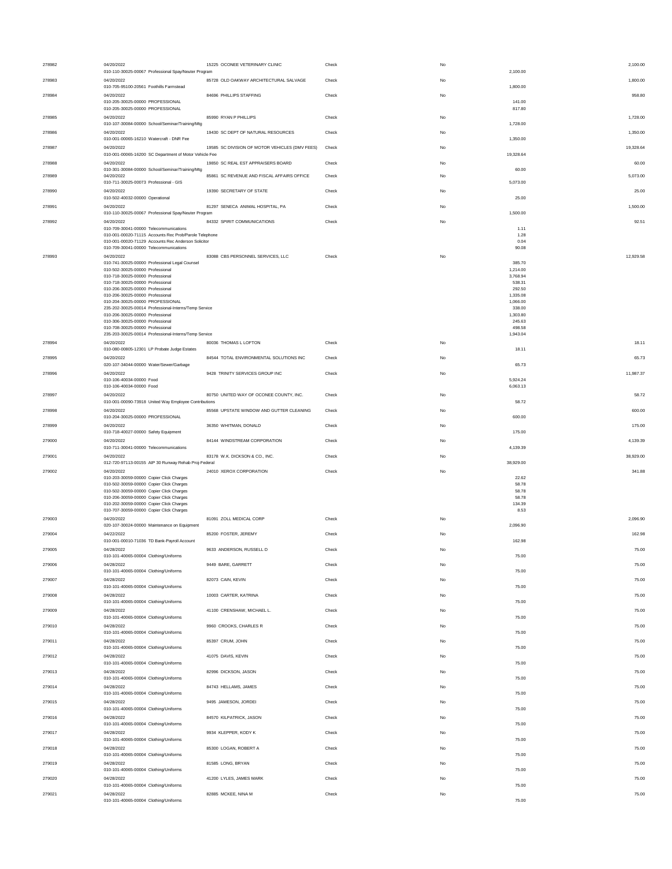| 278982 | 04/20/2022<br>010-110-30025-00067 Professional Spay/Neuter Program                                                                                                                                | 15225 OCONEE VETERINARY CLINIC                 | Check | No | 2,100.00<br>2,100.00              |
|--------|---------------------------------------------------------------------------------------------------------------------------------------------------------------------------------------------------|------------------------------------------------|-------|----|-----------------------------------|
| 278983 | 04/20/2022<br>010-705-95100-20561 Foothills Farmstead                                                                                                                                             | 85728 OLD OAKWAY ARCHITECTURAL SALVAGE         | Check | No | 1,800.00<br>1,800.00              |
| 278984 | 04/20/2022<br>010-205-30025-00000 PROFESSIONAL                                                                                                                                                    | 84696 PHILLIPS STAFFING                        | Check | No | 958.80<br>141.00                  |
| 278985 | 010-205-30025-00000 PROFESSIONAL<br>04/20/2022<br>010-107-30084-00000 School/Seminar/Training/Mtg                                                                                                 | 85990 RYAN P PHILLIPS                          | Check | No | 817.80<br>1,728.00<br>1,728.00    |
| 278986 | 04/20/2022<br>010-001-00065-16210 Watercraft - DNR Fee                                                                                                                                            | 19430 SC DEPT OF NATURAL RESOURCES             | Check | No | 1,350.00<br>1,350.00              |
| 278987 | 04/20/2022<br>010-001-00065-16200 SC Department of Motor Vehicle Fee                                                                                                                              | 19585 SC DIVISION OF MOTOR VEHICLES (DMV FEES) | Check | No | 19,328.64<br>19,328.64            |
| 278988 | 04/20/2022                                                                                                                                                                                        | 19850 SC REAL EST APPRAISERS BOARD             | Check | No | 60.00                             |
| 278989 | 010-301-30084-00000 School/Seminar/Training/Mtg<br>04/20/2022                                                                                                                                     | 85861 SC REVENUE AND FISCAL AFFAIRS OFFICE     | Check | No | 60.00<br>5,073.00                 |
| 278990 | 010-711-30025-00073 Professional - GIS<br>04/20/2022                                                                                                                                              | 19390 SECRETARY OF STATE                       | Check | No | 5,073.00<br>25.00                 |
| 278991 | 010-502-40032-00000 Operational<br>04/20/2022                                                                                                                                                     | 81297 SENECA ANIMAL HOSPITAL, PA               | Check | No | 25.00<br>1,500.00                 |
| 278992 | 010-110-30025-00067 Professional Spay/Neuter Program<br>04/20/2022                                                                                                                                | 84332 SPIRIT COMMUNICATIONS                    | Check | No | 1,500.00<br>92.51                 |
|        | 010-709-30041-00000 Telecommunications<br>010-001-00020-71115 Accounts Rec Prob/Parole Telephone<br>010-001-00020-71129 Accounts Rec Anderson Solicitor<br>010-709-30041-00000 Telecommunications |                                                |       |    | 1.11<br>1.28<br>0.04<br>90.08     |
| 278993 | 04/20/2022<br>010-741-30025-00000 Professional Legal Counsel                                                                                                                                      | 83088 CBS PERSONNEL SERVICES, LLC              | Check | No | 12,929.58<br>385.70               |
|        | 010-502-30025-00000 Professional<br>010-718-30025-00000 Professional                                                                                                                              |                                                |       |    | 1.214.00<br>3,768.94              |
|        | 010-718-30025-00000 Professional                                                                                                                                                                  |                                                |       |    | 538.31                            |
|        | 010-206-30025-00000 Professional<br>010-206-30025-00000 Professional                                                                                                                              |                                                |       |    | 292.50<br>1,335.08                |
|        | 010-204-30025-00000 PROFESSIONAL<br>235-202-30025-00014 Professional-Interns/Temp Service                                                                                                         |                                                |       |    | 1,066.00<br>338.00                |
|        | 010-206-30025-00000 Professional<br>010-306-30025-00000 Professional                                                                                                                              |                                                |       |    | 1,303.80<br>245.63                |
|        | 010-708-30025-00000 Professional                                                                                                                                                                  |                                                |       |    | 498.58                            |
| 278994 | 235-203-30025-00014 Professional-Interns/Temp Service<br>04/20/2022                                                                                                                               | 80036 THOMAS L LOFTON                          | Check | No | 1,943.04<br>18.11                 |
|        | 010-080-00805-12301 LP Probate Judge Estates                                                                                                                                                      |                                                |       |    | 18.11                             |
| 278995 | 04/20/2022<br>020-107-34044-00000 Water/Sewer/Garbage                                                                                                                                             | 84544 TOTAL ENVIRONMENTAL SOLUTIONS INC        | Check | No | 65.73<br>65.73                    |
| 278996 | 04/20/2022<br>010-106-40034-00000 Food                                                                                                                                                            | 9428 TRINITY SERVICES GROUP INC                | Check | No | 11,987.37<br>5,924.24             |
| 278997 | 010-106-40034-00000 Food<br>04/20/2022                                                                                                                                                            | 80750 UNITED WAY OF OCONEE COUNTY, INC.        | Check | No | 6,063.13<br>58.72                 |
|        | 010-001-00090-73918 United Way Employee Contributions                                                                                                                                             |                                                |       |    | 58.72                             |
| 278998 | 04/20/2022<br>010-204-30025-00000 PROFESSIONAL                                                                                                                                                    | 85568 UPSTATE WINDOW AND GUTTER CLEANING       | Check | No | 600.00<br>600.00                  |
| 278999 | 04/20/2022<br>010-718-40027-00000 Safety Equipment                                                                                                                                                | 36350 WHITMAN, DONALD                          | Check | No | 175.00<br>175.00                  |
| 279000 | 04/20/2022<br>010-711-30041-00000 Telecommunications                                                                                                                                              | 84144 WINDSTREAM CORPORATION                   | Check | No | 4,139.39<br>4,139.39              |
| 279001 | 04/20/2022<br>012-720-97113-00155 AIP 30 Runway Rehab Proj-Federal                                                                                                                                | 83178 W.K. DICKSON & CO., INC.                 | Check | No | 38,929.00<br>38,929.00            |
| 279002 | 04/20/2022<br>010-203-30059-00000 Copier Click Charges                                                                                                                                            | 24010 XEROX CORPORATION                        | Check | No | 341.88<br>22.62                   |
|        | 010-502-30059-00000 Copier Click Charges<br>010-502-30059-00000 Copier Click Charges<br>010-206-30059-00000 Copier Click Charges<br>010-202-30059-00000 Copier Click Charges                      |                                                |       |    | 58.78<br>58.78<br>58.78<br>134.39 |
| 279003 | 010-707-30059-00000 Copier Click Charges<br>04/20/2022                                                                                                                                            | 81091 ZOLL MEDICAL CORP                        | Check | No | 8.53<br>2,096.90                  |
| 279004 | 020-107-30024-00000 Maintenance on Equipment<br>04/22/2022                                                                                                                                        | 85200 FOSTER, JEREMY                           | Check | No | 2,096.90<br>162.98                |
| 279005 | 010-001-00010-71036 TD Bank-Payroll Account<br>04/28/2022                                                                                                                                         | 9633 ANDERSON, RUSSELL D                       | Check | No | 162.98<br>75.00                   |
| 279006 | 010-101-40065-00004 Clothing/Uniforms<br>04/28/2022                                                                                                                                               | 9449 BARE, GARRETT                             | Check | No | 75.00<br>75.00                    |
| 279007 | 010-101-40065-00004 Clothing/Uniforms<br>04/28/2022                                                                                                                                               | 82073 CAIN, KEVIN                              | Check | No | 75.00<br>75.00                    |
| 279008 | 010-101-40065-00004 Clothing/Uniforms<br>04/28/2022                                                                                                                                               | 10003 CARTER, KATRINA                          | Check | No | 75.00<br>75.00                    |
| 279009 | 010-101-40065-00004 Clothing/Uniforms<br>04/28/2022                                                                                                                                               | 41100 CRENSHAW, MICHAEL L.                     | Check | No | 75.00<br>75.00                    |
| 279010 | 010-101-40065-00004 Clothing/Uniforms<br>04/28/2022                                                                                                                                               | 9960 CROOKS, CHARLES R                         | Check | No | 75.00<br>75.00                    |
| 279011 | 010-101-40065-00004 Clothing/Uniforms<br>04/28/2022                                                                                                                                               | 85397 CRUM, JOHN                               | Check | No | 75.00<br>75.00                    |
|        | 010-101-40065-00004 Clothing/Uniforms<br>04/28/2022                                                                                                                                               |                                                |       |    | 75.00                             |
| 279012 | 010-101-40065-00004 Clothing/Uniforms                                                                                                                                                             | 41075 DAVIS, KEVIN<br>82996 DICKSON JASON      | Check | No | 75.00<br>75.00                    |
| 279013 | 04/28/2022<br>010-101-40065-00004 Clothing/Uniforms                                                                                                                                               |                                                | Check | No | 75.00<br>75.00                    |
| 279014 | 04/28/2022<br>010-101-40065-00004 Clothing/Uniforms                                                                                                                                               | 84743 HELLAMS, JAMES                           | Check | No | 75.00<br>75.00                    |
| 279015 | 04/28/2022<br>010-101-40065-00004 Clothing/Uniforms                                                                                                                                               | 9495 JAMESON, JORDEI                           | Check | No | 75.00<br>75.00                    |
| 279016 | 04/28/2022<br>010-101-40065-00004 Clothing/Uniforms                                                                                                                                               | 84570 KILPATRICK, JASON                        | Check | No | 75.00<br>75.00                    |
| 279017 | 04/28/2022<br>010-101-40065-00004 Clothing/Uniforms                                                                                                                                               | 9934 KLEPPER, KODY K                           | Check | No | 75.00<br>75.00                    |
| 279018 | 04/28/2022<br>010-101-40065-00004 Clothing/Uniforms                                                                                                                                               | 85300 LOGAN, ROBERT A                          | Check | No | 75.00<br>75.00                    |
| 279019 | 04/28/2022<br>010-101-40065-00004 Clothing/Uniforms                                                                                                                                               | 81585 LONG, BRYAN                              | Check | No | 75.00<br>75.00                    |
| 279020 | 04/28/2022                                                                                                                                                                                        | 41200 LYLES, JAMES MARK                        | Check | No | 75.00                             |
| 279021 | 010-101-40065-00004 Clothing/Uniforms<br>04/28/2022                                                                                                                                               | 82885 MCKEE, NINA M                            | Check | No | 75.00<br>75.00                    |
|        | 010-101-40065-00004 Clothing/Uniforms                                                                                                                                                             |                                                |       |    | 75.00                             |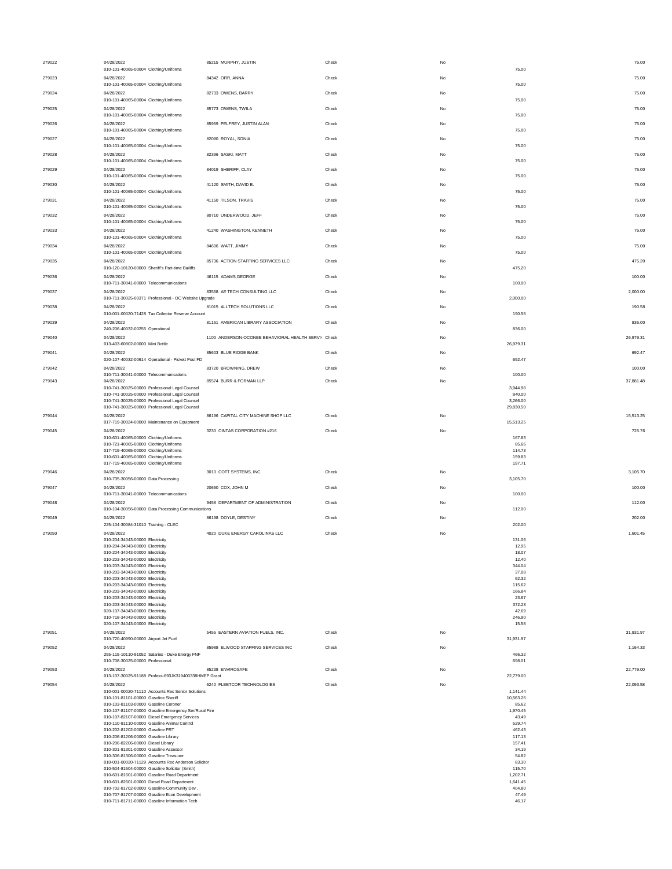| 279022 | 04/28/2022<br>010-101-40065-00004 Clothing/Uniforms                                                                                           | 85215 MURPHY, JUSTIN                                | Check | No        | 75.00<br>75.00               |
|--------|-----------------------------------------------------------------------------------------------------------------------------------------------|-----------------------------------------------------|-------|-----------|------------------------------|
| 279023 | 04/28/2022<br>010-101-40065-00004 Clothing/Uniforms                                                                                           | 84342 ORR. ANNA                                     | Check | No        | 75.00<br>75.00               |
| 279024 | 04/28/2022<br>010-101-40065-00004 Clothing/Uniforms                                                                                           | 82733 OWENS, BARRY                                  | Check | No        | 75.00<br>75.00               |
| 279025 | 04/28/2022                                                                                                                                    | 85773 OWENS, TWILA                                  | Check | No        | 75.00                        |
| 279026 | 010-101-40065-00004 Clothing/Uniforms<br>04/28/2022                                                                                           | 85959 PELFREY, JUSTIN ALAN                          | Check | No        | 75.00<br>75.00               |
| 279027 | 010-101-40065-00004 Clothing/Uniforms<br>04/28/2022                                                                                           | 82090 ROYAL, SONIA                                  | Check | No        | 75.00<br>75.00               |
| 279028 | 010-101-40065-00004 Clothing/Uniforms<br>04/28/2022                                                                                           | 82396 SASKI, MATT                                   | Check | No        | 75.00<br>75.00               |
| 279029 | 010-101-40065-00004 Clothing/Uniforms<br>04/28/2022                                                                                           | 84019 SHERIFF, CLAY                                 | Check | No        | 75.00<br>75.00               |
| 279030 | 010-101-40065-00004 Clothing/Uniforms<br>04/28/2022                                                                                           | 41120 SMITH, DAVID B.                               | Check | No        | 75.00<br>75.00               |
| 279031 | 010-101-40065-00004 Clothing/Uniforms<br>04/28/2022                                                                                           | 41150 TILSON, TRAVIS                                | Check | No        | 75.00<br>75.00               |
| 279032 | 010-101-40065-00004 Clothing/Uniforms<br>04/28/2022                                                                                           | 80710 UNDERWOOD, JEFF                               | Check | No        | 75.00<br>75.00               |
| 279033 | 010-101-40065-00004 Clothing/Uniforms<br>04/28/2022                                                                                           | 41240 WASHINGTON, KENNETH                           | Check | No        | 75.00<br>75.00               |
| 279034 | 010-101-40065-00004 Clothing/Uniforms<br>04/28/2022                                                                                           | 84606 WATT, JIMMY                                   | Check | No        | 75.00<br>75.00               |
| 279035 | 010-101-40065-00004 Clothing/Uniforms<br>04/28/2022                                                                                           | 85736 ACTION STAFFING SERVICES LLC                  | Check | No        | 75.00<br>475.20              |
|        | 010-120-10120-00000 Sheriff's Part-time Bailiffs<br>04/28/2022                                                                                | 46115 ADAMS GEORGE                                  |       |           | 475.20                       |
| 279036 | 010-711-30041-00000 Telecommunications                                                                                                        |                                                     | Check | No        | 100.00<br>100.00             |
| 279037 | 04/28/2022<br>010-711-30025-00371 Professional - OC Website Upgrade                                                                           | 83558 AE TECH CONSULTING LLC                        | Check | No        | 2,000.00<br>2,000.00         |
| 279038 | 04/28/2022<br>010-001-00020-71428 Tax Collector Reserve Account                                                                               | 81015 ALLTECH SOLUTIONS LLC                         | Check | No        | 190.58<br>190.58             |
| 279039 | 04/28/2022<br>240-206-40032-00255 Operational                                                                                                 | 81151 AMERICAN LIBRARY ASSOCIATION                  | Check | <b>No</b> | 836.00<br>836.00             |
| 279040 | 04/28/2022<br>013-403-60802-00000 Mini Bottle                                                                                                 | 1100 ANDERSON-OCONEE BEHAVIORAL HEALTH SERVII Check |       | No        | 26,979.31<br>26,979.31       |
| 279041 | 04/28/2022<br>020-107-40032-00614 Operational - Pickett Post FD                                                                               | 85603 BLUE RIDGE BANK                               | Check | No        | 692.47<br>692.47             |
| 279042 | 04/28/2022<br>010-711-30041-00000 Telecommunications                                                                                          | 83720 BROWNING, DREW                                | Check | No        | 100.00<br>100.00             |
| 279043 | 04/28/2022<br>010-741-30025-00000 Professional Legal Counsel                                                                                  | 85574 BURR & FORMAN LLP                             | Check | No        | 37,881.48<br>3,944.98        |
|        | 010-741-30025-00000 Professional Legal Counsel<br>010-741-30025-00000 Professional Legal Counsel                                              |                                                     |       |           | 840.00<br>3,266.00           |
| 279044 | 010-741-30025-00000 Professional Legal Counsel<br>04/28/2022                                                                                  | 86196 CAPITAL CITY MACHINE SHOP LLC                 | Check | No        | 29,830.50<br>15,513.25       |
| 279045 | 017-719-30024-00000 Maintenance on Equipment<br>04/28/2022                                                                                    | 3230 CINTAS CORPORATION #216                        | Check | <b>No</b> | 15,513.25<br>725.76          |
|        |                                                                                                                                               |                                                     |       |           |                              |
|        | 010-601-40065-00000 Clothing/Uniforms<br>010-721-40065-00000 Clothing/Uniforms                                                                |                                                     |       |           | 167.83<br>85.66              |
|        | 017-719-40065-00000 Clothing/Uniforms<br>010-601-40065-00000 Clothing/Uniforms                                                                |                                                     |       |           | 114.73<br>159.83             |
| 279046 | 017-719-40065-00000 Clothing/Uniforms<br>04/28/2022                                                                                           | 3010 COTT SYSTEMS, INC.                             | Check | No        | 197.71<br>3.105.70           |
| 279047 | 010-735-30056-00000 Data Processing<br>04/28/2022                                                                                             |                                                     | Check | No        | 3,105.70<br>100.00           |
|        | 010-711-30041-00000 Telecommunications                                                                                                        | 20660 COX, JOHN M                                   |       |           | 100.00                       |
| 279048 | 04/28/2022<br>010-104-30056-00000 Data Processing Communications                                                                              | 9458 DEPARTMENT OF ADMINISTRATION                   | Check | No        | 112.00<br>112.00             |
| 279049 | 04/28/2022<br>225-104-30084-31010 Training - CLEC                                                                                             | 86198 DOYLE, DESTINY                                | Check | No        | 202.00<br>202.00             |
| 279050 | 04/28/2022<br>010-204-34043-00000 Electricity                                                                                                 | 4020 DUKE ENERGY CAROLINAS LLC                      | Check | <b>No</b> | 1.601.45<br>131.06           |
|        | 010-204-34043-00000 Electricity<br>010-204-34043-00000 Electricity                                                                            |                                                     |       |           | 12.95<br>18.07               |
|        | 010-203-34043-00000 Electricity<br>010-203-34043-00000 Electricity                                                                            |                                                     |       |           | 12.40<br>344.04              |
|        | 010-203-34043-00000 Electricity<br>010-203-34043-00000 Electricity                                                                            |                                                     |       |           | 37.08<br>62.32               |
|        | 010-203-34043-00000 Electricity<br>010-203-34043-00000 Electricity                                                                            |                                                     |       |           | 115.62<br>166.84             |
|        | 010-203-34043-00000 Electricity                                                                                                               |                                                     |       |           | 23.67                        |
|        | 010-203-34043-00000 Electricity<br>020-107-34043-00000 Electricity                                                                            |                                                     |       |           | 372.23<br>42.69              |
|        | 010-718-34043-00000 Electricity                                                                                                               |                                                     |       |           | 246.90                       |
| 279051 | 020-107-34043-00000 Electricity<br>04/28/2022                                                                                                 | 5455 EASTERN AVIATION FUELS, INC.                   | Check | No        | 15.58<br>31.931.97           |
|        | 010-720-40990-00000 Airport Jet Fuel                                                                                                          |                                                     |       |           | 31,931.97                    |
| 279052 | 04/28/2022<br>255-115-10110-91052 Salaries - Duke Energy FNF<br>010-708-30025-00000 Professional                                              | 85988 ELWOOD STAFFING SERVICES INC                  | Check | No        | 1,164.33<br>466.32<br>698.01 |
| 279053 | 04/28/2022                                                                                                                                    | 85238 ENVIROSAFE                                    | Check | No        | 22,779.00                    |
| 279054 | 013-107-30025-91188 Profess-693JK319400338HMEP Grant<br>04/28/2022                                                                            | 6240 FLEETCOR TECHNOLOGIES                          | Check | <b>No</b> | 22,779.00<br>22,093.58       |
|        | 010-001-00020-71110 Accounts Rec Senior Solutions                                                                                             |                                                     |       |           | 1.141.44                     |
|        | 010-101-81101-00000 Gasoline Sheriff<br>010-103-81103-00000 Gasoline Coroner                                                                  |                                                     |       |           | 10,563.26<br>85.62           |
|        | 010-107-81107-00000 Gasoline Emergency Ser/Rural Fire<br>010-107-82107-00000 Diesel Emergency Services                                        |                                                     |       |           | 1,970.45<br>43.49            |
|        | 010-110-81110-00000 Gasoline Animal Control                                                                                                   |                                                     |       |           | 529.74                       |
|        | 010-202-81202-00000 Gasoline PRT<br>010-206-81206-00000 Gasoline Library                                                                      |                                                     |       |           | 462.43<br>117.13             |
|        | 010-206-82206-00000 Diesel Library                                                                                                            |                                                     |       |           | 157.41                       |
|        | 010-301-81301-00000 Gasoline Assessor<br>010-306-81306-00000 Gasoline Treasurer                                                               |                                                     |       |           | 34.19<br>54.82               |
|        | 010-001-00020-71129 Accounts Rec Anderson Solicitor                                                                                           |                                                     |       |           | 83.30                        |
|        | 010-504-81504-00000 Gasoline Solicitor (Smith)<br>010-601-81601-00000 Gasoline Road Department                                                |                                                     |       |           | 115,70<br>1,202.71           |
|        | 010-601-82601-00000 Diesel Road Department                                                                                                    |                                                     |       |           | 1,641.45                     |
|        | 010-702-81702-00000 Gasoline-Community Dev.<br>010-707-81707-00000 Gasoline Econ Development<br>010-711-81711-00000 Gasoline Information Tech |                                                     |       |           | 404.80<br>47.49              |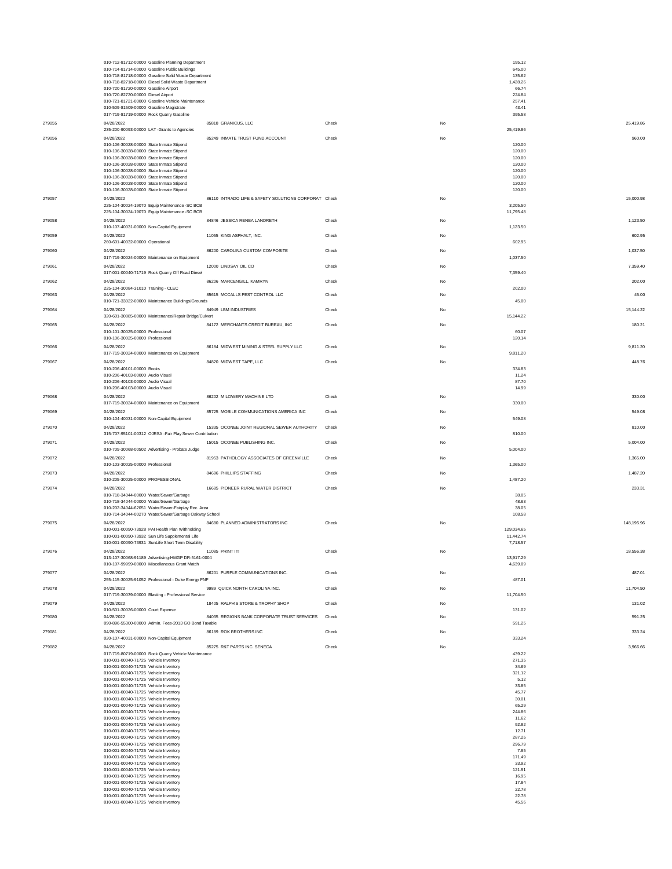|        | 010-712-81712-00000 Gasoline Planning Department                                                     |                                                      |       | 195.12<br>645.00      |            |
|--------|------------------------------------------------------------------------------------------------------|------------------------------------------------------|-------|-----------------------|------------|
|        | 010-714-81714-00000 Gasoline Public Buildings<br>010-718-81718-00000 Gasoline Solid Waste Department |                                                      |       | 135.62                |            |
|        | 010-718-82718-00000 Diesel Solid Waste Department<br>010-720-81720-00000 Gasoline Airport            |                                                      |       | 1,428.26<br>66.74     |            |
|        | 010-720-82720-00000 Diesel Airport                                                                   |                                                      |       | 224.84                |            |
|        | 010-721-81721-00000 Gasoline Vehicle Maintenance<br>010-509-81509-00000 Gasoline Magistrate          |                                                      |       | 257.41<br>43.41       |            |
|        | 017-719-81719-00000 Rock Quarry Gasoline                                                             |                                                      |       | 395.58                |            |
| 279055 | 04/28/2022<br>235-200-90093-00000 LAT -Grants to Agencies                                            | 85818 GRANICUS, LLC                                  | Check | No<br>25,419.86       | 25,419.86  |
| 279056 | 04/28/2022                                                                                           | 85249 INMATE TRUST FUND ACCOUNT                      | Check | No                    | 960.00     |
|        | 010-106-30028-00000 State Inmate Stipend<br>010-106-30028-00000 State Inmate Stipend                 |                                                      |       | 120.00<br>120.00      |            |
|        | 010-106-30028-00000 State Inmate Stipend                                                             |                                                      |       | 120.00                |            |
|        | 010-106-30028-00000 State Inmate Stipend<br>010-106-30028-00000 State Inmate Stipend                 |                                                      |       | 120.00<br>120.00      |            |
|        | 010-106-30028-00000 State Inmate Stipend                                                             |                                                      |       | 120.00                |            |
|        | 010-106-30028-00000 State Inmate Stipend<br>010-106-30028-00000 State Inmate Stipend                 |                                                      |       | 120.00<br>120.00      |            |
| 279057 | 04/28/2022                                                                                           | 86110 INTRADO LIFE & SAFETY SOLUTIONS CORPORAT Check |       | No                    | 15,000.98  |
|        | 225-104-30024-19070 Equip Maintenance -SC BCB<br>225-104-30024-19070 Equip Maintenance - SC BCB      |                                                      |       | 3,205.50<br>11,795.48 |            |
| 279058 | 04/28/2022                                                                                           | 84846 JESSICA RENEA LANDRETH                         | Check | No                    | 1,123.50   |
|        | 010-107-40031-00000 Non-Capital Equipment                                                            |                                                      |       | 1,123.50              |            |
| 279059 | 04/28/2022<br>260-601-40032-00000 Operational                                                        | 11055 KING ASPHALT, INC.                             | Check | No<br>602.95          | 602.95     |
| 279060 | 04/28/2022                                                                                           | 86200 CAROLINA CUSTOM COMPOSITE                      | Check | No                    | 1,037.50   |
|        | 017-719-30024-00000 Maintenance on Equipment                                                         |                                                      |       | 1,037.50              |            |
| 279061 | 04/28/2022<br>017-001-00040-71719 Rock Quarry Off Road Diesel                                        | 12000 LINDSAY OIL CO                                 | Check | No<br>7,359.40        | 7,359.40   |
| 279062 | 04/28/2022                                                                                           | 86206 MARCENGILL, KAMRYN                             | Check | No                    | 202.00     |
| 279063 | 225-104-30084-31010 Training - CLEC<br>04/28/2022                                                    | 85615 MCCALLS PEST CONTROL LLC                       | Check | 202.00<br>No          | 45.00      |
|        | 010-721-33022-00000 Maintenance Buildings/Grounds                                                    |                                                      |       | 45.00                 |            |
| 279064 | 04/28/2022<br>320-601-30885-00000 Maintenance/Repair Bridge/Culvert                                  | 84949 LBM INDUSTRIES                                 | Check | No<br>15,144.22       | 15,144.22  |
| 279065 | 04/28/2022                                                                                           | 84172 MERCHANTS CREDIT BUREAU, INC                   | Check | No                    | 180.21     |
|        | 010-101-30025-00000 Professional                                                                     |                                                      |       | 60.07                 |            |
| 279066 | 010-106-30025-00000 Professional<br>04/28/2022                                                       | 86184 MIDWEST MINING & STEEL SUPPLY LLC              | Check | 120.14<br>No          | 9,811.20   |
|        | 017-719-30024-00000 Maintenance on Equipment                                                         |                                                      |       | 9,811.20              |            |
| 279067 | 04/28/2022                                                                                           | 84820 MIDWEST TAPE. LLC                              | Check | No                    | 448.76     |
|        | 010-206-40101-00000 Books<br>010-206-40103-00000 Audio Visual                                        |                                                      |       | 334.83<br>11.24       |            |
|        | 010-206-40103-00000 Audio Visual<br>010-206-40103-00000 Audio Visual                                 |                                                      |       | 87.70<br>14.99        |            |
| 279068 | 04/28/2022                                                                                           | 86202 M LOWERY MACHINE LTD                           | Check | No                    | 330.00     |
|        | 017-719-30024-00000 Maintenance on Equipment                                                         |                                                      |       | 330.00                |            |
| 279069 | 04/28/2022<br>010-104-40031-00000 Non-Capital Equipment                                              | 85725 MOBILE COMMUNICATIONS AMERICA INC              | Check | No<br>549.08          | 549.08     |
| 279070 | 04/28/2022                                                                                           | 15335 OCONEE JOINT REGIONAL SEWER AUTHORITY          | Check | No                    | 810.00     |
|        | 315-707-95101-00312 OJRSA -Fair Play Sewer Contribution                                              |                                                      |       | 810.00                |            |
| 279071 | 04/28/2022<br>010-709-30068-00502 Advertising - Probate Judge                                        | 15015 OCONEE PUBLISHING INC.                         | Check | No<br>5,004.00        | 5,004.00   |
| 279072 | 04/28/2022                                                                                           | 81953 PATHOLOGY ASSOCIATES OF GREENVILLE             | Check | No                    | 1,365.00   |
|        | 010-103-30025-00000 Professional                                                                     |                                                      |       | 1,365.00              |            |
| 279073 | 04/28/2022<br>010-205-30025-00000 PROFESSIONAL                                                       | 84696 PHILLIPS STAFFING                              | Check | No<br>1,487.20        | 1,487.20   |
| 279074 | 04/28/2022                                                                                           | 16685 PIONEER RURAL WATER DISTRICT                   | Check | No                    | 233.31     |
|        | 010-718-34044-00000 Water/Sewer/Garbage<br>010-718-34044-00000 Water/Sewer/Garbage                   |                                                      |       | 38.05<br>48.63        |            |
|        | 010-202-34044-62051 Water/Sewer-Fairplay Rec. Area                                                   |                                                      |       | 38.05                 |            |
| 279075 | 010-714-34044-00270 Water/Sewer/Garbage Oakway School<br>04/28/2022                                  | 84680 PLANNED ADMINISTRATORS INC                     | Check | 108.58<br>No          | 148,195.96 |
|        | 010-001-00090-73928 PAI Health Plan Withholding                                                      |                                                      |       | 129.034.65            |            |
|        | 010-001-00090-73932 Sun Life Supplemental Life<br>010-001-00090-73931 SunLife Short Term Disability  |                                                      |       | 11,442.74<br>7,718.57 |            |
| 279076 | 04/28/2022                                                                                           | 11085 PRINT IT!                                      | Check | No                    | 18,556.38  |
|        | 013-107-30068-91189 Advertising-HMGP DR-5161-0004                                                    |                                                      |       | 13,917.29             |            |
| 279077 | 010-107-99999-00000 Miscellaneous Grant Match<br>04/28/2022                                          | 86201 PURPLE COMMUNICATIONS INC.                     | Check | 4,639.09<br>No        | 487.01     |
|        | 255-115-30025-91052 Professional - Duke Energy FNF                                                   |                                                      |       | 487.01                |            |
| 279078 | 04/28/2022                                                                                           | 9989 QUICK NORTH CAROLINA INC.                       | Check | No                    | 11,704.50  |
| 279079 | 017-719-30039-00000 Blasting - Professional Service<br>04/28/2022                                    | 18405 RALPH'S STORE & TROPHY SHOP                    | Check | 11,704.50<br>No       | 131.02     |
|        | 010-501-30026-00000 Court Expense                                                                    |                                                      |       | 131.02                |            |
| 279080 | 04/28/2022<br>090-896-55300-00000 Admin. Fees-2013 GO Bond Taxable                                   | 84035 REGIONS BANK CORPORATE TRUST SERVICES          | Check | No<br>591.25          | 591.25     |
| 279081 | 04/28/2022                                                                                           | 86189 ROK BROTHERS INC                               | Check | No                    | 333.24     |
|        | 020-107-40031-00000 Non-Capital Equipment                                                            |                                                      |       | 333.24                |            |
| 279082 | 04/28/2022<br>017-719-80719-00000 Rock Quarry Vehicle Maintenance                                    | 85275 R&T PARTS INC. SENECA                          | Check | No<br>439.22          | 3,966.66   |
|        | 010-001-00040-71725 Vehicle Inventory                                                                |                                                      |       | 271.35                |            |
|        | 010-001-00040-71725 Vehicle Inventory<br>010-001-00040-71725 Vehicle Inventory                       |                                                      |       | 34.69<br>321.12       |            |
|        | 010-001-00040-71725 Vehicle Inventory<br>010-001-00040-71725 Vehicle Inventory                       |                                                      |       | 5.12<br>33.85         |            |
|        | 010-001-00040-71725 Vehicle Inventory                                                                |                                                      |       | 45.77                 |            |
|        | 010-001-00040-71725 Vehicle Inventory<br>010-001-00040-71725 Vehicle Inventory                       |                                                      |       | 30.01<br>65.29        |            |
|        | 010-001-00040-71725 Vehicle Inventory                                                                |                                                      |       | 244.86                |            |
|        | 010-001-00040-71725 Vehicle Inventory<br>010-001-00040-71725 Vehicle Inventory                       |                                                      |       | 11.62<br>92.92        |            |
|        | 010-001-00040-71725 Vehicle Inventory                                                                |                                                      |       | 12.71                 |            |
|        | 010-001-00040-71725 Vehicle Inventory<br>010-001-00040-71725 Vehicle Inventory                       |                                                      |       | 287.25<br>296.79      |            |
|        | 010-001-00040-71725 Vehicle Inventory                                                                |                                                      |       | 7.95                  |            |
|        | 010-001-00040-71725 Vehicle Inventory<br>010-001-00040-71725 Vehicle Inventory                       |                                                      |       | 171.49<br>33.92       |            |
|        | 010-001-00040-71725 Vehicle Inventory<br>010-001-00040-71725 Vehicle Inventory                       |                                                      |       | 121.91<br>16.95       |            |
|        | 010-001-00040-71725 Vehicle Inventory                                                                |                                                      |       | 17.84                 |            |
|        | 010-001-00040-71725 Vehicle Inventory<br>010-001-00040-71725 Vehicle Inventory                       |                                                      |       | 22.78<br>22.78        |            |
|        | 010-001-00040-71725 Vehicle Inventory                                                                |                                                      |       | 45.56                 |            |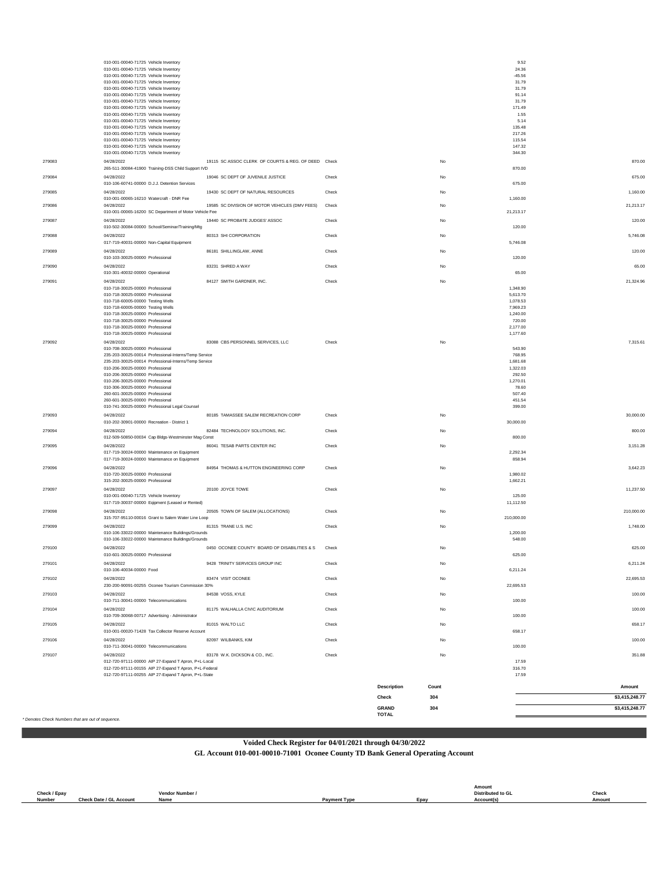|        | 010-001-00040-71725 Vehicle Inventory<br>010-001-00040-71725 Vehicle Inventory<br>010-001-00040-71725 Vehicle Inventory<br>010-001-00040-71725 Vehicle Inventory<br>010-001-00040-71725 Vehicle Inventory<br>010-001-00040-71725 Vehicle Inventory<br>010-001-00040-71725 Vehicle Inventory<br>010-001-00040-71725 Vehicle Inventory<br>010-001-00040-71725 Vehicle Inventory                                                              |                                                     |       |                       |       | 9.52<br>24.36<br>$-45.56$<br>31.79<br>31.79<br>91.14<br>31.79<br>171.49<br>1.55                       |                |
|--------|--------------------------------------------------------------------------------------------------------------------------------------------------------------------------------------------------------------------------------------------------------------------------------------------------------------------------------------------------------------------------------------------------------------------------------------------|-----------------------------------------------------|-------|-----------------------|-------|-------------------------------------------------------------------------------------------------------|----------------|
|        | 010-001-00040-71725 Vehicle Inventory<br>010-001-00040-71725 Vehicle Inventory<br>010-001-00040-71725 Vehicle Inventory<br>010-001-00040-71725 Vehicle Inventory<br>010-001-00040-71725 Vehicle Inventory<br>010-001-00040-71725 Vehicle Inventory                                                                                                                                                                                         |                                                     |       |                       |       | 5.14<br>135.48<br>217.26<br>115.54<br>147.32<br>344.30                                                |                |
| 279083 | 04/28/2022<br>265-511-30084-41900 Training-DSS Child Support IVD                                                                                                                                                                                                                                                                                                                                                                           | 19115 SC ASSOC CLERK OF COURTS & REG. OF DEED Check |       |                       | No    | 870.00                                                                                                | 870.00         |
| 279084 | 04/28/2022<br>010-106-60741-00000 D.J.J. Detention Services                                                                                                                                                                                                                                                                                                                                                                                | 19046 SC DEPT OF JUVENILE JUSTICE                   | Check |                       | No    | 675.00                                                                                                | 675.00         |
| 279085 | 04/28/2022                                                                                                                                                                                                                                                                                                                                                                                                                                 | 19430 SC DEPT OF NATURAL RESOURCES                  | Check |                       | No    |                                                                                                       | 1,160.00       |
| 279086 | 010-001-00065-16210 Watercraft - DNR Fee<br>04/28/2022                                                                                                                                                                                                                                                                                                                                                                                     | 19585 SC DIVISION OF MOTOR VEHICLES (DMV FEES)      | Check |                       | No    | 1,160.00                                                                                              | 21,213.17      |
| 279087 | 010-001-00065-16200 SC Department of Motor Vehicle Fee<br>04/28/2022                                                                                                                                                                                                                                                                                                                                                                       | 19440 SC PROBATE JUDGES' ASSOC                      | Check |                       | No    | 21,213.17                                                                                             | 120.00         |
| 279088 | 010-502-30084-00000 School/Seminar/Training/Mtg<br>04/28/2022                                                                                                                                                                                                                                                                                                                                                                              | 80313 SHI CORPORATION                               | Check |                       | No    | 120.00                                                                                                | 5,746.08       |
| 279089 | 017-719-40031-00000 Non-Capital Equipment<br>04/28/2022                                                                                                                                                                                                                                                                                                                                                                                    | 86181 SHILLINGLAW, ANNE                             | Check |                       | No    | 5,746.08                                                                                              | 120.00         |
|        | 010-103-30025-00000 Professional                                                                                                                                                                                                                                                                                                                                                                                                           |                                                     |       |                       |       | 120.00                                                                                                |                |
| 279090 | 04/28/2022<br>010-301-40032-00000 Operational                                                                                                                                                                                                                                                                                                                                                                                              | 83231 SHRED A WAY                                   | Check |                       | No    | 65.00                                                                                                 | 65.00          |
| 279091 | 04/28/2022<br>010-718-30025-00000 Professional<br>010-718-30025-00000 Professional<br>010-718-60005-00000 Testing Wells<br>010-718-60005-00000 Testing Wells<br>010-718-30025-00000 Professional<br>010-718-30025-00000 Professional<br>010-718-30025-00000 Professional<br>010-718-30025-00000 Professional                                                                                                                               | 84127 SMITH GARDNER, INC.                           | Check |                       | No    | 1,348.90<br>5,613.70<br>1,078.53<br>7,969.23<br>1,240.00<br>720.00<br>2,177.00<br>1,177.60            | 21,324.96      |
| 279092 | 04/28/2022<br>010-708-30025-00000 Professional<br>235-203-30025-00014 Professional-Interns/Temp Service<br>235-203-30025-00014 Professional-Interns/Temp Service<br>010-206-30025-00000 Professional<br>010-206-30025-00000 Professional<br>010-206-30025-00000 Professional<br>010-306-30025-00000 Professional<br>260-601-30025-00000 Professional<br>260-601-30025-00000 Professional<br>010-741-30025-00000 Professional Legal Counsel | 83088 CBS PERSONNEL SERVICES, LLC                   | Check |                       | No    | 543.90<br>768.95<br>1,681.68<br>1.322.03<br>292.50<br>1,270.01<br>78.60<br>507.40<br>451.54<br>399.00 | 7,315.61       |
| 279093 | 04/28/2022<br>010-202-30901-00000 Recreation - District 1                                                                                                                                                                                                                                                                                                                                                                                  | 80185 TAMASSEE SALEM RECREATION CORP                | Check |                       | No    | 30,000.00                                                                                             | 30,000.00      |
| 279094 | 04/28/2022                                                                                                                                                                                                                                                                                                                                                                                                                                 | 82484 TECHNOLOGY SOLUTIONS, INC.                    | Check |                       | No    |                                                                                                       | 800.00         |
| 279095 | 012-509-50850-00034 Cap Bldgs-Westminster Mag Const<br>04/28/2022<br>017-719-30024-00000 Maintenance on Equipment<br>017-719-30024-00000 Maintenance on Equipment                                                                                                                                                                                                                                                                          | 86041 TESAB PARTS CENTER INC                        | Check |                       | No    | 800.00<br>2,292.34<br>858.94                                                                          | 3,151.28       |
| 279096 | 04/28/2022<br>010-720-30025-00000 Professional<br>315-202-30025-00000 Professional                                                                                                                                                                                                                                                                                                                                                         | 84954 THOMAS & HUTTON ENGINEERING CORP              | Check |                       | No    | 1,980.02<br>1,662.21                                                                                  | 3,642.23       |
| 279097 | 04/28/2022<br>010-001-00040-71725 Vehicle Inventory<br>017-719-30037-00000 Eqipment (Leased or Rented)                                                                                                                                                                                                                                                                                                                                     | 20100 JOYCE TOWE                                    | Check |                       | No    | 125.00<br>11,112.50                                                                                   | 11,237.50      |
| 279098 | 04/28/2022<br>315-707-95110-00016 Grant to Salem Water Line Loop                                                                                                                                                                                                                                                                                                                                                                           | 20505 TOWN OF SALEM (ALLOCATIONS)                   | Check |                       | No    | 210,000.00                                                                                            | 210,000.00     |
| 279099 | 04/28/2022<br>010-106-33022-00000 Maintenance Buildings/Grounds<br>010-106-33022-00000 Maintenance Buildings/Grounds                                                                                                                                                                                                                                                                                                                       | 81315 TRANE U.S. INC                                | Check |                       | No    | 1,200.00<br>548.00                                                                                    | 1,748.00       |
| 279100 | 04/28/2022<br>010-601-30025-00000 Professional                                                                                                                                                                                                                                                                                                                                                                                             | 0450 OCONEE COUNTY BOARD OF DISABILITIES & S        | Check |                       | No    | 625.00                                                                                                | 625.00         |
| 279101 | 04/28/2022<br>010-106-40034-00000 Food                                                                                                                                                                                                                                                                                                                                                                                                     | 9428 TRINITY SERVICES GROUP INC                     | Check |                       | No    |                                                                                                       | 6,211.24       |
| 279102 | 04/28/2022                                                                                                                                                                                                                                                                                                                                                                                                                                 | 83474 VISIT OCONEE                                  | Check |                       | No    | 6,211.24                                                                                              | 22,695.53      |
| 279103 | 230-200-90091-00255 Oconee Tourism Commission 30%<br>04/28/2022                                                                                                                                                                                                                                                                                                                                                                            | 84538 VOSS, KYLE                                    | Check |                       | No    | 22,695.53                                                                                             | 100.00         |
| 279104 | 010-711-30041-00000 Telecommunications<br>04/28/2022                                                                                                                                                                                                                                                                                                                                                                                       | 81175 WALHALLA CIVIC AUDITORIUM                     | Check |                       | No    | 100.00                                                                                                | 100.00         |
| 279105 | 010-709-30068-00717 Advertising - Administrator<br>04/28/2022                                                                                                                                                                                                                                                                                                                                                                              | 81015 WALTO LLC                                     | Check |                       | No    | 100.00                                                                                                | 658.17         |
|        | 010-001-00020-71428 Tax Collector Reserve Account                                                                                                                                                                                                                                                                                                                                                                                          |                                                     |       |                       |       | 658.17                                                                                                |                |
| 279106 | 04/28/2022<br>010-711-30041-00000 Telecommunications                                                                                                                                                                                                                                                                                                                                                                                       | 82097 WILBANKS, KIM                                 | Check |                       | No    | 100.00                                                                                                | 100.00         |
| 279107 | 04/28/2022<br>012-720-97111-00000 AIP 27-Expand T Apron, P+L-Local<br>012-720-97111-00155 AIP 27-Expand T Apron, P+L-Federal<br>012-720-97111-00255 AIP 27-Expand T Apron, P+L-State                                                                                                                                                                                                                                                       | 83178 W.K. DICKSON & CO., INC.                      | Check |                       | No    | 17.59<br>316.70<br>17.59                                                                              | 351.88         |
|        |                                                                                                                                                                                                                                                                                                                                                                                                                                            |                                                     |       | Description           | Count |                                                                                                       | Amount         |
|        |                                                                                                                                                                                                                                                                                                                                                                                                                                            |                                                     |       | Check                 | 304   |                                                                                                       | \$3,415,248.77 |
|        |                                                                                                                                                                                                                                                                                                                                                                                                                                            |                                                     |       | GRAND<br><b>TOTAL</b> | 304   |                                                                                                       | \$3,415,248.77 |

*\* Denotes Check Numbers that are out of sequence.*

**Voided Check Register for 04/01/2021 through 04/30/2022**

**GL Account 010-001-00010-71001 Oconee County TD Bank General Operating Account**

|              |                         |               |                     |             | Amount                   |        |
|--------------|-------------------------|---------------|---------------------|-------------|--------------------------|--------|
| Check / Epay |                         | Vendor Number |                     |             | <b>Distributed to GL</b> | Check  |
| Number       | Check Date / GL Account | Name          | <b>Payment Type</b> | <b>Epay</b> | Account(s)               | Amount |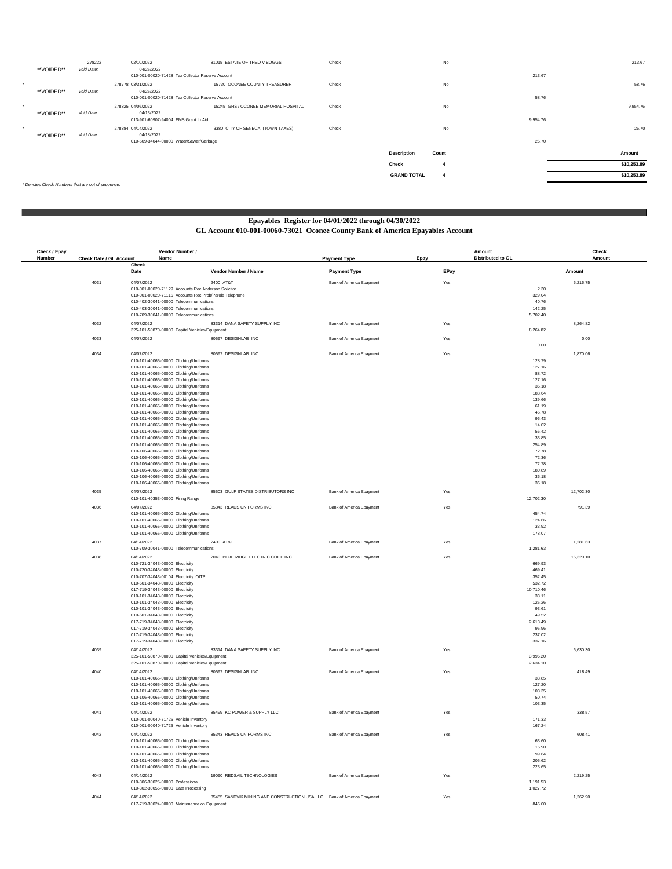|         | **VOIDED** | 278222<br>Void Date:                              | 02/10/2022<br>04/25/2022                              | 81015 ESTATE OF THEO V BOGGS         | Check |                    | No                      |          | 213.67      |
|---------|------------|---------------------------------------------------|-------------------------------------------------------|--------------------------------------|-------|--------------------|-------------------------|----------|-------------|
|         |            |                                                   | 010-001-00020-71428 Tax Collector Reserve Account     |                                      |       |                    |                         | 213.67   |             |
| $\star$ | **VOIDED** | Void Date:                                        | 278778 03/31/2022<br>04/25/2022                       | 15730 OCONEE COUNTY TREASURER        | Check |                    | No                      |          | 58.76       |
|         |            |                                                   | 010-001-00020-71428 Tax Collector Reserve Account     |                                      |       |                    |                         | 58.76    |             |
| $\star$ |            |                                                   | 278825 04/06/2022                                     | 15245 GHS / OCONEE MEMORIAL HOSPITAL | Check |                    | No                      |          | 9,954.76    |
|         | **VOIDED** | Void Date:                                        | 04/13/2022<br>013-901-60907-94004 EMS Grant In Aid    |                                      |       |                    |                         | 9,954.76 |             |
| $\star$ |            |                                                   | 278884 04/14/2022                                     | 3380 CITY OF SENECA (TOWN TAXES)     | Check |                    | No                      |          | 26.70       |
|         | **VOIDED** | Void Date:                                        | 04/18/2022<br>010-509-34044-00000 Water/Sewer/Garbage |                                      |       |                    |                         | 26.70    |             |
|         |            |                                                   |                                                       |                                      |       |                    |                         |          |             |
|         |            |                                                   |                                                       |                                      |       | <b>Description</b> | Count                   |          | Amount      |
|         |            |                                                   |                                                       |                                      |       | Check              | 4                       |          | \$10,253.89 |
|         |            |                                                   |                                                       |                                      |       | <b>GRAND TOTAL</b> | $\overline{\mathbf{4}}$ |          | \$10,253.89 |
|         |            | * Denotes Check Numbers that are out of sequence. |                                                       |                                      |       |                    |                         |          |             |

### **Epayables Register for 04/01/2022 through 04/30/2022**

### **GL Account 010-001-00060-73021 Oconee County Bank of America Epayables Account**

| Check / Epay |                         | Vendor Number /                                                                             |                                                                        | Amount                    |                     | Check     |
|--------------|-------------------------|---------------------------------------------------------------------------------------------|------------------------------------------------------------------------|---------------------------|---------------------|-----------|
| Number       | Check Date / GL Account | Name<br>Check                                                                               | <b>Payment Type</b>                                                    | Epay<br>Distributed to GL |                     | Amount    |
|              |                         | Vendor Number / Name<br>Date                                                                | <b>Payment Type</b>                                                    | EPay                      | Amount              |           |
|              | 4031                    | 04/07/2022<br>2400 AT&T                                                                     | Bank of America Epayment                                               | Yes                       |                     | 6,216.75  |
|              |                         | 010-001-00020-71129 Accounts Rec Anderson Solicito                                          |                                                                        |                           | 2.30                |           |
|              |                         | 010-001-00020-71115 Accounts Rec Prob/Parole Telephone                                      |                                                                        |                           | 329.04              |           |
|              |                         | 010-402-30041-00000 Telecommunications<br>010-403-30041-00000 Telecommunications            |                                                                        |                           | 40.76<br>142.25     |           |
|              |                         | 010-709-30041-00000 Telecommunications                                                      |                                                                        |                           | 5,702.40            |           |
|              | 4032                    | 04/07/2022<br>83314 DANA SAFETY SUPPLY INC                                                  | Bank of America Epayment                                               | Yes                       |                     | 8.264.82  |
|              |                         | 325-101-50870-00000 Capital Vehicles/Equipmen                                               |                                                                        |                           | 8,264.82            |           |
|              | 4033                    | 80597 DESIGNLAB INC<br>04/07/2022                                                           | Bank of America Epayment                                               | Yes                       |                     | 0.00      |
|              |                         |                                                                                             |                                                                        |                           | 0.00                |           |
|              | 4034                    | 04/07/2022<br>80597 DESIGNLAB INC                                                           | Bank of America Epayment                                               | Yes                       |                     | 1,870.06  |
|              |                         | 010-101-40065-00000 Clothing/Uniforms                                                       |                                                                        |                           | 128.79              |           |
|              |                         | 010-101-40065-00000 Clothing/Uniforms<br>010-101-40065-00000 Clothing/Uniforms              |                                                                        |                           | 127.16              |           |
|              |                         | 010-101-40065-00000 Clothing/Uniforms                                                       |                                                                        |                           | 88.72<br>127.16     |           |
|              |                         | 010-101-40065-00000 Clothing/Uniforms                                                       |                                                                        |                           | 36.18               |           |
|              |                         | 010-101-40065-00000 Clothing/Uniforms                                                       |                                                                        |                           | 188.64              |           |
|              |                         | 010-101-40065-00000 Clothing/Uniforms                                                       |                                                                        |                           | 139.66              |           |
|              |                         | 010-101-40065-00000 Clothing/Uniforms<br>010-101-40065-00000 Clothing/Uniforms              |                                                                        |                           | 61.19<br>45.78      |           |
|              |                         | 010-101-40065-00000 Clothing/Uniforms                                                       |                                                                        |                           | 96.43               |           |
|              |                         | 010-101-40065-00000 Clothing/Uniforms                                                       |                                                                        |                           | 14.02               |           |
|              |                         | 010-101-40065-00000 Clothing/Uniforms                                                       |                                                                        |                           | 56.42               |           |
|              |                         | 010-101-40065-00000 Clothing/Uniforms<br>010-101-40065-00000 Clothing/Uniforms              |                                                                        |                           | 33.85<br>254.89     |           |
|              |                         | 010-106-40065-00000 Clothing/Uniforms                                                       |                                                                        |                           | 72.78               |           |
|              |                         | 010-106-40065-00000 Clothing/Uniforms                                                       |                                                                        |                           | 72.36               |           |
|              |                         | 010-106-40065-00000 Clothing/Uniforms                                                       |                                                                        |                           | 72.78               |           |
|              |                         | 010-106-40065-00000 Clothing/Uniforms<br>010-106-40065-00000 Clothing/Uniforms              |                                                                        |                           | 180.89<br>36.18     |           |
|              |                         | 010-106-40065-00000 Clothing/Uniforms                                                       |                                                                        |                           | 36.18               |           |
|              | 4035                    | 04/07/2022<br>85503 GULF STATES DISTRIBUTORS INC                                            | Bank of America Epayment                                               | Yes                       |                     | 12,702.30 |
|              |                         | 010-101-40353-00000 Firing Range                                                            |                                                                        |                           | 12,702.30           |           |
|              | 4036                    | 04/07/2022<br>85343 READS UNIFORMS INC                                                      | <b>Bank of America Enayment</b>                                        | Yes                       |                     | 791.39    |
|              |                         | 010-101-40065-00000 Clothing/Uniforms                                                       |                                                                        |                           | 454.74              |           |
|              |                         | 010-101-40065-00000 Clothing/Uniforms                                                       |                                                                        |                           | 124.66              |           |
|              |                         | 010-101-40065-00000 Clothing/Uniforms<br>010-101-40065-00000 Clothing/Uniforms              |                                                                        |                           | 33.92<br>178.07     |           |
|              |                         |                                                                                             |                                                                        |                           |                     |           |
|              | 4037                    | 04/14/2022<br>2400 AT&T<br>010-709-30041-00000 Telecommunications                           | Bank of America Epayment                                               | Yes                       | 1,281.63            | 1,281.63  |
|              | 4038                    | 04/14/2022<br>2040 BLUE RIDGE ELECTRIC COOP INC.                                            | Bank of America Epayment                                               | Yes                       |                     | 16,320.10 |
|              |                         | 010-721-34043-00000 Electricity                                                             |                                                                        |                           | 669.93              |           |
|              |                         | 010-720-34043-00000 Electricity                                                             |                                                                        |                           | 469.41              |           |
|              |                         | 010-707-34043-00104 Electricity OITP                                                        |                                                                        |                           | 352.45              |           |
|              |                         | 010-601-34043-00000 Electricity<br>017-719-34043-00000 Electricity                          |                                                                        |                           | 532.72<br>10,710.46 |           |
|              |                         | 010-101-34043-00000 Electricity                                                             |                                                                        |                           | 33.11               |           |
|              |                         | 010-101-34043-00000 Electricity                                                             |                                                                        |                           | 125.26              |           |
|              |                         | 010-101-34043-00000 Electricity<br>010-601-34043-00000 Electricity                          |                                                                        |                           | 93.61<br>49.52      |           |
|              |                         | 017-719-34043-00000 Electricity                                                             |                                                                        |                           | 2.613.49            |           |
|              |                         | 017-719-34043-00000 Electricity                                                             |                                                                        |                           | 95.96               |           |
|              |                         | 017-719-34043-00000 Electricity                                                             |                                                                        |                           | 237.02              |           |
|              |                         | 017-719-34043-00000 Electricity                                                             |                                                                        |                           | 337.16              |           |
|              | 4039                    | 04/14/2022<br>83314 DANA SAFETY SUPPLY INC<br>325-101-50870-00000 Capital Vehicles/Equipmen | Bank of America Epayment                                               | Yes                       | 3,996.20            | 6,630.30  |
|              |                         | 325-101-50870-00000 Capital Vehicles/Equipment                                              |                                                                        |                           | 2,634.10            |           |
|              | 4040                    | 04/14/2022<br>80597 DESIGNLAB INC                                                           | Bank of America Epayment                                               | Yes                       |                     | 418.49    |
|              |                         | 010-101-40065-00000 Clothing/Uniforms                                                       |                                                                        |                           | 33.85               |           |
|              |                         | 010-101-40065-00000 Clothing/Uniforms                                                       |                                                                        |                           | 127.20              |           |
|              |                         | 010-101-40065-00000 Clothing/Uniforms<br>010-106-40065-00000 Clothing/Uniforms              |                                                                        |                           | 103.35<br>50.74     |           |
|              |                         | 010-101-40065-00000 Clothing/Uniforms                                                       |                                                                        |                           | 103.35              |           |
|              | 4041                    | 04/14/2022<br>85499 KC POWER & SUPPLY LLC                                                   | Bank of America Epayment                                               | Yes                       |                     | 338.57    |
|              |                         | 010-001-00040-71725 Vehicle Inventory                                                       |                                                                        |                           | 171.33              |           |
|              |                         | 010-001-00040-71725 Vehicle Inventory                                                       |                                                                        |                           | 167.24              |           |
|              | 4042                    | 04/14/2022<br>85343 READS UNIFORMS INC.                                                     | Bank of America Epayment                                               | Yes                       |                     | 608.41    |
|              |                         | 010-101-40065-00000 Clothing/Uniforms<br>010-101-40065-00000 Clothing/Uniforms              |                                                                        |                           | 63.60<br>15.90      |           |
|              |                         | 010-101-40065-00000 Clothing/Uniforms                                                       |                                                                        |                           | 99.64               |           |
|              |                         | 010-101-40065-00000 Clothing/Uniforms                                                       |                                                                        |                           | 205.62              |           |
|              |                         | 010-101-40065-00000 Clothing/Uniforms                                                       |                                                                        |                           | 223.65              |           |
|              | 4043                    | 04/14/2022<br>19090 REDSAIL TECHNOLOGIES                                                    | Bank of America Epayment                                               | Yes                       |                     | 2,219.25  |
|              |                         | 010-306-30025-00000 Professional                                                            |                                                                        |                           | 1,191.53            |           |
|              |                         | 010-302-30056-00000 Data Processing                                                         |                                                                        |                           | 1.027.72            |           |
|              | 4044                    | 04/14/2022<br>017-719-30024-00000 Maintenance on Equipment                                  | 85485 SANDVIK MINING AND CONSTRUCTION USA LLC Bank of America Epayment | Yes                       | 846.00              | 1.262.90  |
|              |                         |                                                                                             |                                                                        |                           |                     |           |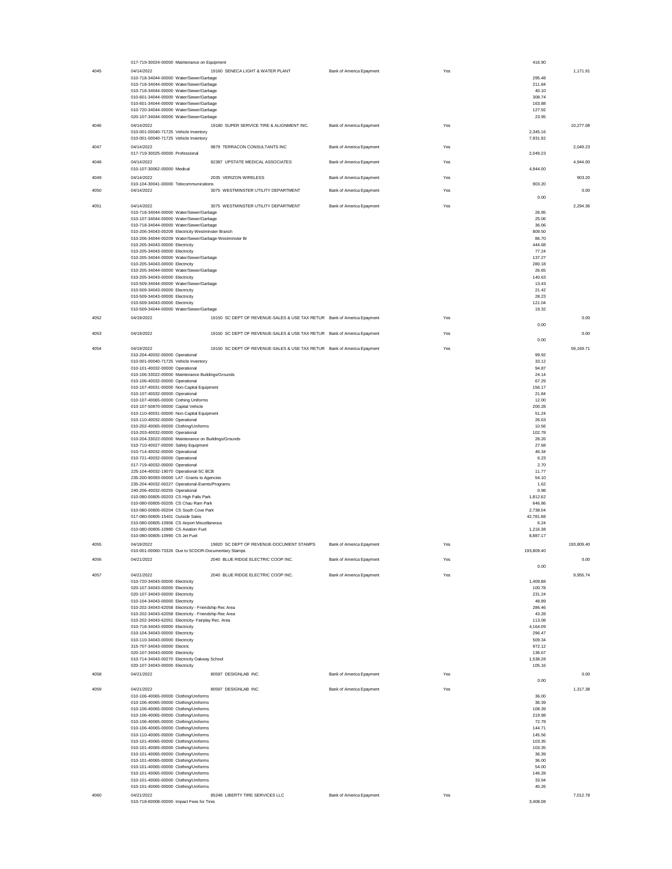| 4045 | 017-719-30024-00000 Maintenance on Equipment                                             |                                                                         |                          |     | 416.90               |            |
|------|------------------------------------------------------------------------------------------|-------------------------------------------------------------------------|--------------------------|-----|----------------------|------------|
|      | 04/14/2022                                                                               | 19160 SENECA LIGHT & WATER PLANT                                        | Bank of America Epayment | Yes |                      | 1,171.91   |
|      | 010-718-34044-00000 Water/Sewer/Garbage                                                  |                                                                         |                          |     | 295.48               |            |
|      | 010-718-34044-00000 Water/Sewer/Garbage<br>010-718-34044-00000 Water/Sewer/Garbage       |                                                                         |                          |     | 211.84<br>40.10      |            |
|      | 010-601-34044-00000 Water/Sewer/Garbage                                                  |                                                                         |                          |     | 308.74               |            |
|      | 010-601-34044-00000 Water/Sewer/Garbage                                                  |                                                                         |                          |     | 163.88               |            |
|      | 010-720-34044-00000 Water/Sewer/Garbage                                                  |                                                                         |                          |     | 127.92               |            |
|      | 020-107-34044-00000 Water/Sewer/Garbage                                                  |                                                                         |                          |     | 23.95                |            |
| 4046 | 04/14/2022<br>010-001-00040-71725 Vehicle Inventory                                      | 19180 SUPER SERVICE TIRE & ALIGNMENT INC.                               | Bank of America Epayment | Yes | 2,345.16             | 10,277.08  |
|      | 010-001-00040-71725 Vehicle Inventory                                                    |                                                                         |                          |     | 7,931.92             |            |
| 4047 | 04/14/2022                                                                               | 9879 TERRACON CONSULTANTS INC                                           | Bank of America Epayment | Yes |                      | 2,049.23   |
|      | 017-719-30025-00000 Professional                                                         |                                                                         |                          |     | 2,049.23             |            |
| 4048 | 04/14/2022                                                                               | 82387 UPSTATE MEDICAL ASSOCIATES                                        | Bank of America Epayment | Yes |                      | 4.944.00   |
|      | 010-107-30062-00000 Medical                                                              |                                                                         |                          |     | 4,944.00             |            |
| 4049 | 04/14/2022                                                                               | 2035 VERIZON WIRELESS                                                   | Bank of America Epayment | Yes |                      | 903.20     |
|      | 010-104-30041-00000 Telecommunications                                                   |                                                                         |                          |     | 903.20               |            |
| 4050 | 04/14/2022                                                                               | 3075 WESTMINSTER UTILITY DEPARTMENT                                     | Bank of America Epayment | Yes |                      | 0.00       |
|      |                                                                                          |                                                                         |                          |     | 0.00                 |            |
| 4051 | 04/14/2022                                                                               | 3075 WESTMINSTER UTILITY DEPARTMENT                                     | Bank of America Epayment | Yes |                      | 2,294.36   |
|      | 010-718-34044-00000 Water/Sewer/Garbage<br>010-107-34044-00000 Water/Sewer/Garbage       |                                                                         |                          |     | 26.95<br>25.06       |            |
|      | 010-718-34044-00000 Water/Sewer/Garbage                                                  |                                                                         |                          |     | 36.06                |            |
|      | 010-206-34043-00209 Electricity Westminster Branch                                       |                                                                         |                          |     | 809.50               |            |
|      | 010-206-34044-00209 Water/Sewer/Garbage-Westminster Br                                   |                                                                         |                          |     | 86.70                |            |
|      | 010-205-34043-00000 Electricity<br>010-205-34043-00000 Electricity                       |                                                                         |                          |     | 444.68<br>77.24      |            |
|      | 010-205-34044-00000 Water/Sewer/Garbage                                                  |                                                                         |                          |     | 137.27               |            |
|      | 010-205-34043-00000 Electricity                                                          |                                                                         |                          |     | 280.18               |            |
|      | 010-205-34044-00000 Water/Sewer/Garbage                                                  |                                                                         |                          |     | 26.65                |            |
|      | 010-205-34043-00000 Electricity                                                          |                                                                         |                          |     | 140.63               |            |
|      | 010-509-34044-00000 Water/Sewer/Garbage<br>010-509-34043-00000 Electricity               |                                                                         |                          |     | 13.43<br>21.42       |            |
|      | 010-509-34043-00000 Electricity                                                          |                                                                         |                          |     | 28.23                |            |
|      | 010-509-34043-00000 Electricity                                                          |                                                                         |                          |     | 121.04               |            |
|      | 010-509-34044-00000 Water/Sewer/Garbage                                                  |                                                                         |                          |     | 19.32                |            |
| 4052 | 04/19/2022                                                                               | 19150 SC DEPT OF REVENUE-SALES & USE TAX RETUR Bank of America Epayment |                          | Yes |                      | 0.00       |
|      |                                                                                          |                                                                         |                          |     | 0.00                 |            |
| 4053 | 04/19/2022                                                                               | 19150 SC DEPT OF REVENUE-SALES & USE TAX RETUR Bank of America Epayment |                          | Yes |                      | 0.00       |
|      |                                                                                          |                                                                         |                          |     | 0.00                 |            |
| 4054 | 04/19/2022                                                                               | 19150 SC DEPT OF REVENUE-SALES & USE TAX RETUR Bank of America Epayment |                          | Yes |                      | 59,169.71  |
|      | 010-204-40032-00000 Operational                                                          |                                                                         |                          |     | 99.92                |            |
|      | 010-001-00040-71725 Vehicle Inventory                                                    |                                                                         |                          |     | 33.12<br>94.87       |            |
|      | 010-101-40032-00000 Operational<br>010-106-33022-00000 Maintenance Buildings/Grounds     |                                                                         |                          |     | 24.14                |            |
|      | 010-106-40032-00000 Operational                                                          |                                                                         |                          |     | 67.29                |            |
|      | 010-107-40031-00000 Non-Capital Equipment                                                |                                                                         |                          |     | 156.17               |            |
|      | 010-107-40032-00000 Operational                                                          |                                                                         |                          |     | 21.84                |            |
|      | 010-107-40065-00000 Cothing Uniforms<br>010-107-50870-00000 Capital Vehicle              |                                                                         |                          |     | 12.00<br>200.28      |            |
|      | 010-110-40031-00000 Non-Capital Equipment                                                |                                                                         |                          |     | 51.24                |            |
|      | 010-110-40032-00000 Operational                                                          |                                                                         |                          |     | 26.63                |            |
|      | 010-202-40065-00000 Clothing/Uniforms                                                    |                                                                         |                          |     | 10.56                |            |
|      | 010-203-40032-00000 Operational                                                          |                                                                         |                          |     | 102.78               |            |
|      | 010-204-33022-00000 Maintenance on Buildings/Grounds                                     |                                                                         |                          |     | 28.26<br>27.68       |            |
|      | 010-710-40027-00000 Safety Equipment<br>010-714-40032-00000 Operational                  |                                                                         |                          |     | 46.34                |            |
|      | 010-721-40032-00000 Operational                                                          |                                                                         |                          |     | 6.23                 |            |
|      | 017-719-40032-00000 Operational                                                          |                                                                         |                          |     | 2.70                 |            |
|      | 225-104-40032-19070 Operational-SC BCB                                                   |                                                                         |                          |     | 11.77                |            |
|      |                                                                                          |                                                                         |                          |     |                      |            |
|      | 235-200-90093-00000 LAT -Grants to Agencies                                              |                                                                         |                          |     | 54.10                |            |
|      | 235-204-40032-00227 Operational-Events/Programs                                          |                                                                         |                          |     | 1.62                 |            |
|      | 240-206-40032-00255 Operational<br>010-080-00805-00203 CS High Falls Park                |                                                                         |                          |     | 0.98<br>1,812.62     |            |
|      | 010-080-00805-00205 CS Chau Ram Park                                                     |                                                                         |                          |     | 646.86               |            |
|      | 010-080-00805-00204 CS South Cove Park                                                   |                                                                         |                          |     | 2,738.04             |            |
|      | 017-080-00805-15401 Outside Sales                                                        |                                                                         |                          |     | 42,781.88            |            |
|      | 010-080-00805-10906 CS Airport Miscellaneous<br>010-080-00805-10980 CS Aviation Fuel     |                                                                         |                          |     | 6.24                 |            |
|      | 010-080-00805-10990 CS Jet Fuel                                                          |                                                                         |                          |     | 1,216.38<br>8,887.17 |            |
| 4055 | 04/19/2022                                                                               | 19820 SC DEPT OF REVENUE-DOCUMENT STAMPS                                |                          | Yes |                      | 193,809.40 |
|      | 010-001-00060-73326 Due to SCDOR-Documentary Stamps                                      |                                                                         | Bank of America Epayment |     | 193,809.40           |            |
| 4056 | 04/21/2022                                                                               | 2040 BLUE RIDGE ELECTRIC COOP INC.                                      |                          | Yes |                      | 0.00       |
|      |                                                                                          |                                                                         | Bank of America Epayment |     | 0.00                 |            |
| 4057 | 04/21/2022                                                                               | 2040 BLUE RIDGE ELECTRIC COOP INC.                                      | Bank of America Epayment | Yes |                      | 9,955.74   |
|      | 010-720-34043-00000 Electricity                                                          |                                                                         |                          |     | 1,409.88             |            |
|      | 020-107-34043-00000 Electricity                                                          |                                                                         |                          |     | 100.78               |            |
|      | 020-107-34043-00000 Electricity                                                          |                                                                         |                          |     | 231.24               |            |
|      | 010-104-34043-00000 Electricity<br>010-202-34043-62058 Electricity - Friendship Rec Area |                                                                         |                          |     | 48.89<br>286.46      |            |
|      | 010-202-34043-62058 Electricity - Friendship Rec Area                                    |                                                                         |                          |     | 43.28                |            |
|      | 010-202-34043-62051 Electricity- Fairplay Rec. Area                                      |                                                                         |                          |     | 113.08               |            |
|      | 010-718-34043-00000 Electricity                                                          |                                                                         |                          |     | 4,164.09             |            |
|      | 010-104-34043-00000 Electricity                                                          |                                                                         |                          |     | 296.47<br>509.34     |            |
|      | 010-110-34043-00000 Electricity<br>315-707-34043-00000 Electric                          |                                                                         |                          |     | 972.12               |            |
|      | 020-107-34043-00000 Electricity                                                          |                                                                         |                          |     | 136.67               |            |
|      | 010-714-34043-00270 Electricity Oakway School                                            |                                                                         |                          |     | 1,538.28             |            |
|      | 020-107-34043-00000 Electricity                                                          |                                                                         |                          |     | 105.16               |            |
| 4058 | 04/21/2022                                                                               | 80597 DESIGNLAB INC                                                     | Bank of America Epayment | Yes |                      | 0.00       |
|      |                                                                                          |                                                                         |                          |     | 0.00                 |            |
| 4059 | 04/21/2022                                                                               | 80597 DESIGNLAB INC                                                     | Bank of America Epayment | Yes |                      | 1,317.38   |
|      | 010-106-40065-00000 Clothing/Uniforms                                                    |                                                                         |                          |     | 36.00<br>36.39       |            |
|      | 010-106-40065-00000 Clothing/Uniforms<br>010-106-40065-00000 Clothing/Uniforms           |                                                                         |                          |     | 108.39               |            |
|      | 010-106-40065-00000 Clothing/Uniforms                                                    |                                                                         |                          |     | 219.98               |            |
|      | 010-106-40065-00000 Clothing/Uniforms                                                    |                                                                         |                          |     | 72.78                |            |
|      | 010-106-40065-00000 Clothing/Uniforms                                                    |                                                                         |                          |     | 144.71               |            |
|      | 010-110-40065-00000 Clothing/Uniforms<br>010-101-40065-00000 Clothing/Uniforms           |                                                                         |                          |     | 145.56<br>103.35     |            |
|      | 010-101-40065-00000 Clothing/Uniforms                                                    |                                                                         |                          |     | 103.35               |            |
|      | 010-101-40065-00000 Clothing/Uniforms                                                    |                                                                         |                          |     | 36.39                |            |
|      | 010-101-40065-00000 Clothing/Uniforms                                                    |                                                                         |                          |     | 36.00                |            |
|      | 010-101-40065-00000 Clothing/Uniforms                                                    |                                                                         |                          |     | 54.00                |            |
|      | 010-101-40065-00000 Clothing/Uniforms                                                    |                                                                         |                          |     | 146.28               |            |
|      | 010-101-40065-00000 Clothing/Uniforms<br>010-101-40065-00000 Clothing/Uniforms           |                                                                         |                          |     | 33.94<br>40.26       |            |
| 4060 | 04/21/2022                                                                               | 85248 LIBERTY TIRE SERVICES LLC                                         | Bank of America Epayment | Yes |                      | 7,012.78   |